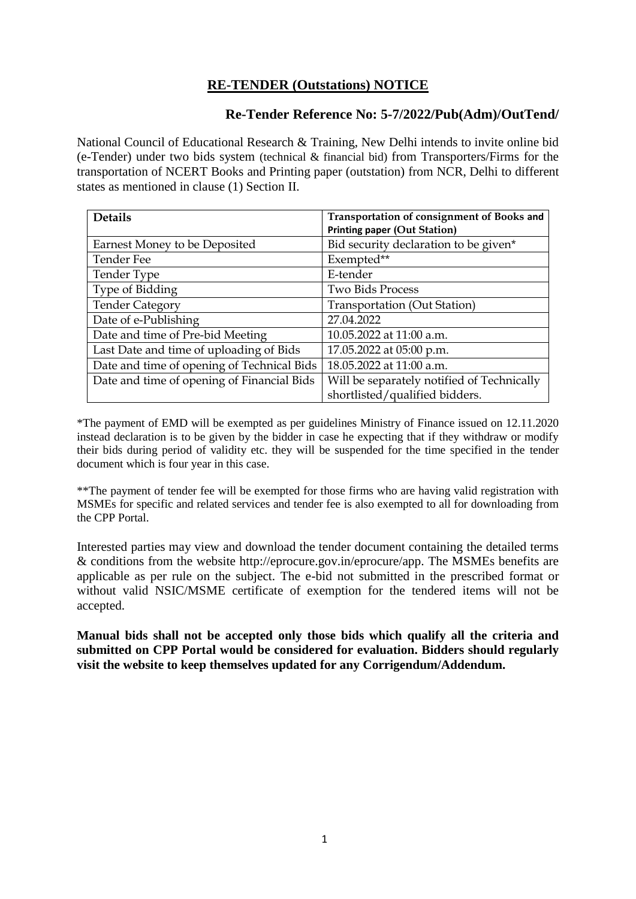## **RE-TENDER (Outstations) NOTICE**

## **Re-Tender Reference No: 5-7/2022/Pub(Adm)/OutTend/**

National Council of Educational Research & Training, New Delhi intends to invite online bid (e-Tender) under two bids system (technical & financial bid) from Transporters/Firms for the transportation of NCERT Books and Printing paper (outstation) from NCR, Delhi to different states as mentioned in clause (1) Section II.

| <b>Details</b>                             | Transportation of consignment of Books and |
|--------------------------------------------|--------------------------------------------|
|                                            | <b>Printing paper (Out Station)</b>        |
| Earnest Money to be Deposited              | Bid security declaration to be given*      |
| Tender Fee                                 | Exempted**                                 |
| Tender Type                                | E-tender                                   |
| Type of Bidding                            | <b>Two Bids Process</b>                    |
| <b>Tender Category</b>                     | Transportation (Out Station)               |
| Date of e-Publishing                       | 27.04.2022                                 |
| Date and time of Pre-bid Meeting           | 10.05.2022 at 11:00 a.m.                   |
| Last Date and time of uploading of Bids    | 17.05.2022 at 05:00 p.m.                   |
| Date and time of opening of Technical Bids | 18.05.2022 at 11:00 a.m.                   |
| Date and time of opening of Financial Bids | Will be separately notified of Technically |
|                                            | shortlisted/qualified bidders.             |

\*The payment of EMD will be exempted as per guidelines Ministry of Finance issued on 12.11.2020 instead declaration is to be given by the bidder in case he expecting that if they withdraw or modify their bids during period of validity etc. they will be suspended for the time specified in the tender document which is four year in this case.

\*\*The payment of tender fee will be exempted for those firms who are having valid registration with MSMEs for specific and related services and tender fee is also exempted to all for downloading from the CPP Portal.

Interested parties may view and download the tender document containing the detailed terms & conditions from the website http://eprocure.gov.in/eprocure/app. The MSMEs benefits are applicable as per rule on the subject. The e-bid not submitted in the prescribed format or without valid NSIC/MSME certificate of exemption for the tendered items will not be accepted.

**Manual bids shall not be accepted only those bids which qualify all the criteria and submitted on CPP Portal would be considered for evaluation. Bidders should regularly visit the website to keep themselves updated for any Corrigendum/Addendum.**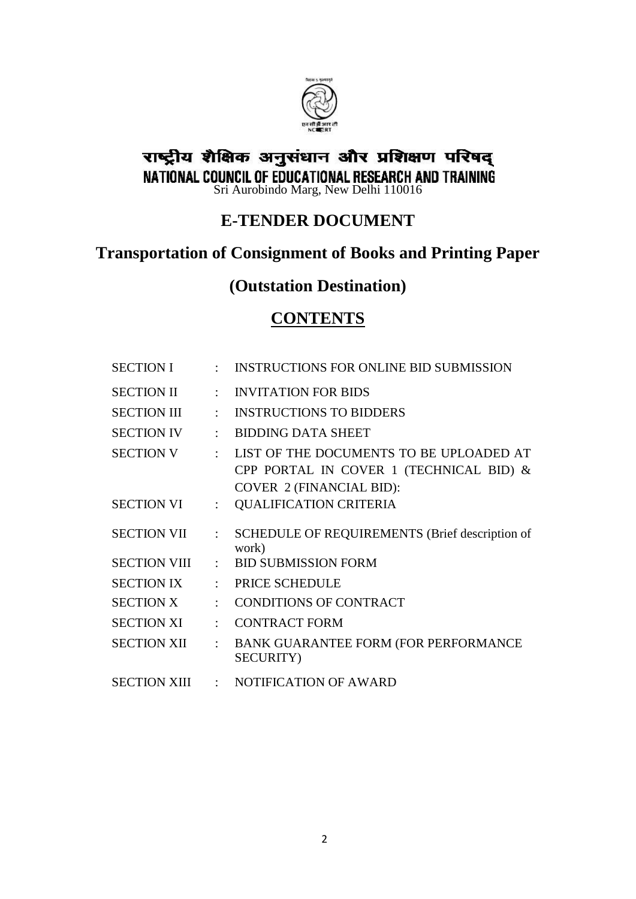

# राष्ट्रीय शैक्षिक अनुसंधान और प्रशिक्षण परिषद् **NATIONAL COUNCIL OF EDUCATIONAL RESEARCH AND TRAINING**<br>Sri Aurobindo Marg, New Delhi 110016

## **E-TENDER DOCUMENT**

## **Transportation of Consignment of Books and Printing Paper**

## **(Outstation Destination)**

## **CONTENTS**

| <b>SECTION I</b>    |                      | <b>INSTRUCTIONS FOR ONLINE BID SUBMISSION</b>                                                                         |
|---------------------|----------------------|-----------------------------------------------------------------------------------------------------------------------|
| <b>SECTION II</b>   |                      | <b>INVITATION FOR BIDS</b>                                                                                            |
| <b>SECTION III</b>  |                      | <b>INSTRUCTIONS TO BIDDERS</b>                                                                                        |
| <b>SECTION IV</b>   | ٠                    | <b>BIDDING DATA SHEET</b>                                                                                             |
| <b>SECTION V</b>    |                      | LIST OF THE DOCUMENTS TO BE UPLOADED AT<br>CPP PORTAL IN COVER 1 (TECHNICAL BID) &<br><b>COVER 2 (FINANCIAL BID):</b> |
| <b>SECTION VI</b>   | ÷                    | <b>QUALIFICATION CRITERIA</b>                                                                                         |
| <b>SECTION VII</b>  |                      | SCHEDULE OF REQUIREMENTS (Brief description of<br>work)                                                               |
| <b>SECTION VIII</b> |                      | <b>BID SUBMISSION FORM</b>                                                                                            |
| <b>SECTION IX</b>   | ÷                    | PRICE SCHEDULE                                                                                                        |
| <b>SECTION X</b>    |                      | <b>CONDITIONS OF CONTRACT</b>                                                                                         |
| <b>SECTION XI</b>   |                      | <b>CONTRACT FORM</b>                                                                                                  |
| <b>SECTION XII</b>  | $\ddot{\phantom{a}}$ | <b>BANK GUARANTEE FORM (FOR PERFORMANCE</b><br><b>SECURITY</b> )                                                      |
| <b>SECTION XIII</b> | $\mathcal{L}$        | NOTIFICATION OF AWARD                                                                                                 |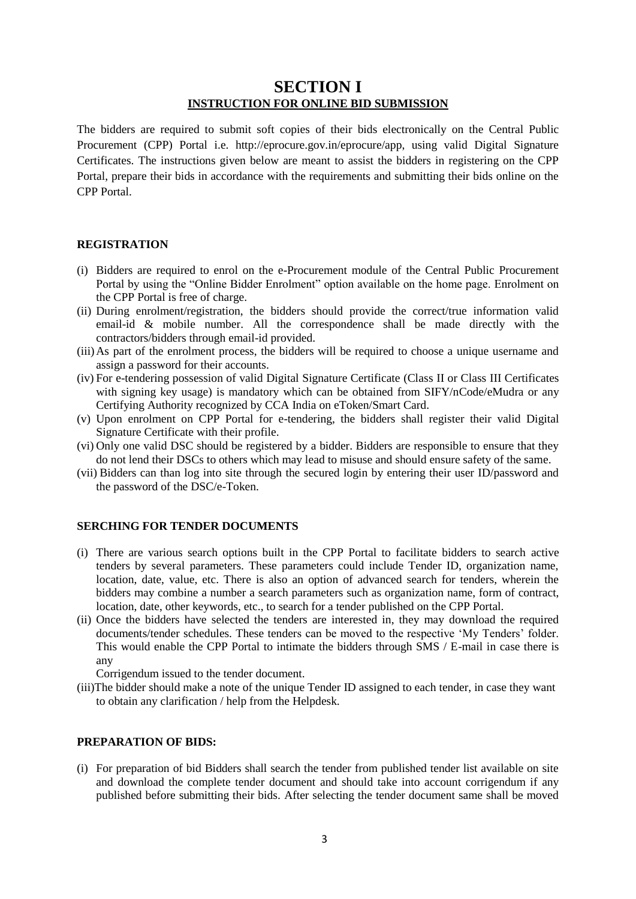## **SECTION I INSTRUCTION FOR ONLINE BID SUBMISSION**

The bidders are required to submit soft copies of their bids electronically on the Central Public Procurement (CPP) Portal i.e. http://eprocure.gov.in/eprocure/app, using valid Digital Signature Certificates. The instructions given below are meant to assist the bidders in registering on the CPP Portal, prepare their bids in accordance with the requirements and submitting their bids online on the CPP Portal.

#### **REGISTRATION**

- (i) Bidders are required to enrol on the e-Procurement module of the Central Public Procurement Portal by using the "Online Bidder Enrolment" option available on the home page. Enrolment on the CPP Portal is free of charge.
- (ii) During enrolment/registration, the bidders should provide the correct/true information valid email-id & mobile number. All the correspondence shall be made directly with the contractors/bidders through email-id provided.
- (iii)As part of the enrolment process, the bidders will be required to choose a unique username and assign a password for their accounts.
- (iv) For e-tendering possession of valid Digital Signature Certificate (Class II or Class III Certificates with signing key usage) is mandatory which can be obtained from SIFY/nCode/eMudra or any Certifying Authority recognized by CCA India on eToken/Smart Card.
- (v) Upon enrolment on CPP Portal for e-tendering, the bidders shall register their valid Digital Signature Certificate with their profile.
- (vi) Only one valid DSC should be registered by a bidder. Bidders are responsible to ensure that they do not lend their DSCs to others which may lead to misuse and should ensure safety of the same.
- (vii) Bidders can than log into site through the secured login by entering their user ID/password and the password of the DSC/e-Token.

#### **SERCHING FOR TENDER DOCUMENTS**

- (i) There are various search options built in the CPP Portal to facilitate bidders to search active tenders by several parameters. These parameters could include Tender ID, organization name, location, date, value, etc. There is also an option of advanced search for tenders, wherein the bidders may combine a number a search parameters such as organization name, form of contract, location, date, other keywords, etc., to search for a tender published on the CPP Portal.
- (ii) Once the bidders have selected the tenders are interested in, they may download the required documents/tender schedules. These tenders can be moved to the respective 'My Tenders' folder. This would enable the CPP Portal to intimate the bidders through SMS / E-mail in case there is any

Corrigendum issued to the tender document.

(iii)The bidder should make a note of the unique Tender ID assigned to each tender, in case they want to obtain any clarification / help from the Helpdesk.

#### **PREPARATION OF BIDS:**

(i) For preparation of bid Bidders shall search the tender from published tender list available on site and download the complete tender document and should take into account corrigendum if any published before submitting their bids. After selecting the tender document same shall be moved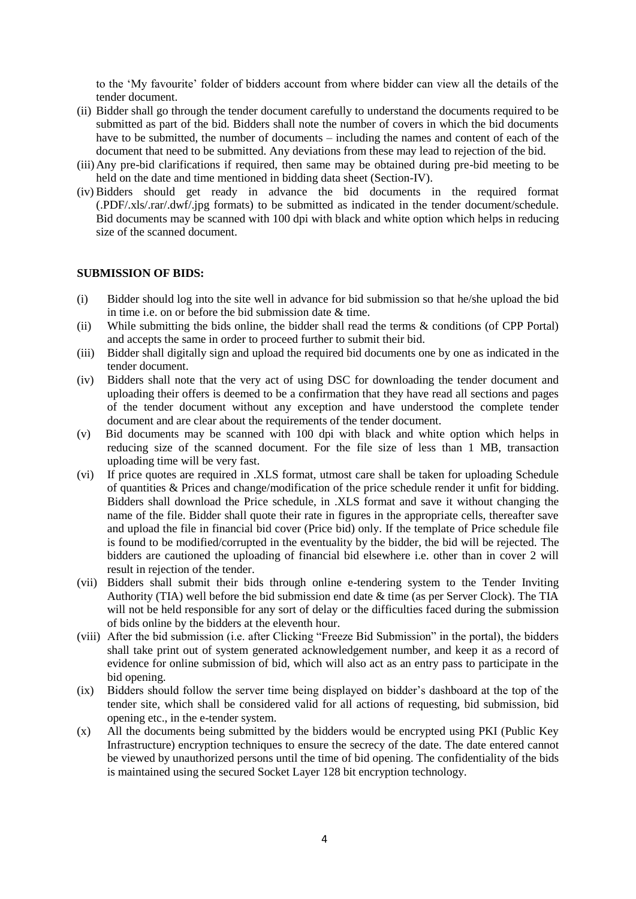to the "My favourite" folder of bidders account from where bidder can view all the details of the tender document.

- (ii) Bidder shall go through the tender document carefully to understand the documents required to be submitted as part of the bid. Bidders shall note the number of covers in which the bid documents have to be submitted, the number of documents – including the names and content of each of the document that need to be submitted. Any deviations from these may lead to rejection of the bid.
- (iii)Any pre-bid clarifications if required, then same may be obtained during pre-bid meeting to be held on the date and time mentioned in bidding data sheet (Section-IV).
- (iv) Bidders should get ready in advance the bid documents in the required format (.PDF/.xls/.rar/.dwf/.jpg formats) to be submitted as indicated in the tender document/schedule. Bid documents may be scanned with 100 dpi with black and white option which helps in reducing size of the scanned document.

#### **SUBMISSION OF BIDS:**

- (i) Bidder should log into the site well in advance for bid submission so that he/she upload the bid in time i.e. on or before the bid submission date & time.
- (ii) While submitting the bids online, the bidder shall read the terms & conditions (of CPP Portal) and accepts the same in order to proceed further to submit their bid.
- (iii) Bidder shall digitally sign and upload the required bid documents one by one as indicated in the tender document.
- (iv) Bidders shall note that the very act of using DSC for downloading the tender document and uploading their offers is deemed to be a confirmation that they have read all sections and pages of the tender document without any exception and have understood the complete tender document and are clear about the requirements of the tender document.
- (v) Bid documents may be scanned with 100 dpi with black and white option which helps in reducing size of the scanned document. For the file size of less than 1 MB, transaction uploading time will be very fast.
- (vi) If price quotes are required in .XLS format, utmost care shall be taken for uploading Schedule of quantities & Prices and change/modification of the price schedule render it unfit for bidding. Bidders shall download the Price schedule, in .XLS format and save it without changing the name of the file. Bidder shall quote their rate in figures in the appropriate cells, thereafter save and upload the file in financial bid cover (Price bid) only. If the template of Price schedule file is found to be modified/corrupted in the eventuality by the bidder, the bid will be rejected. The bidders are cautioned the uploading of financial bid elsewhere i.e. other than in cover 2 will result in rejection of the tender.
- (vii) Bidders shall submit their bids through online e-tendering system to the Tender Inviting Authority (TIA) well before the bid submission end date  $\&$  time (as per Server Clock). The TIA will not be held responsible for any sort of delay or the difficulties faced during the submission of bids online by the bidders at the eleventh hour.
- (viii) After the bid submission (i.e. after Clicking "Freeze Bid Submission" in the portal), the bidders shall take print out of system generated acknowledgement number, and keep it as a record of evidence for online submission of bid, which will also act as an entry pass to participate in the bid opening.
- (ix) Bidders should follow the server time being displayed on bidder"s dashboard at the top of the tender site, which shall be considered valid for all actions of requesting, bid submission, bid opening etc., in the e-tender system.
- (x) All the documents being submitted by the bidders would be encrypted using PKI (Public Key Infrastructure) encryption techniques to ensure the secrecy of the date. The date entered cannot be viewed by unauthorized persons until the time of bid opening. The confidentiality of the bids is maintained using the secured Socket Layer 128 bit encryption technology.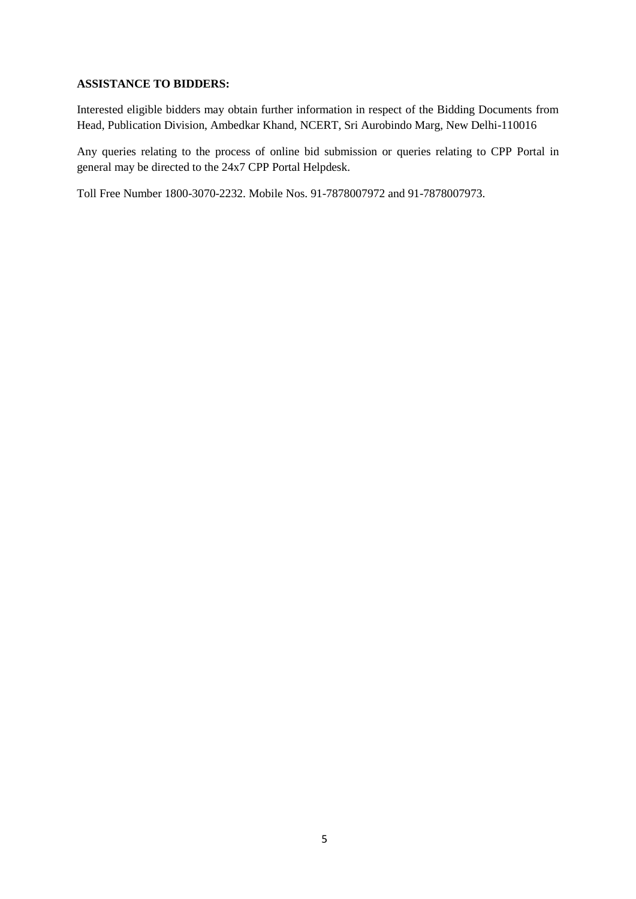#### **ASSISTANCE TO BIDDERS:**

Interested eligible bidders may obtain further information in respect of the Bidding Documents from Head, Publication Division, Ambedkar Khand, NCERT, Sri Aurobindo Marg, New Delhi-110016

Any queries relating to the process of online bid submission or queries relating to CPP Portal in general may be directed to the 24x7 CPP Portal Helpdesk.

Toll Free Number 1800-3070-2232. Mobile Nos. 91-7878007972 and 91-7878007973.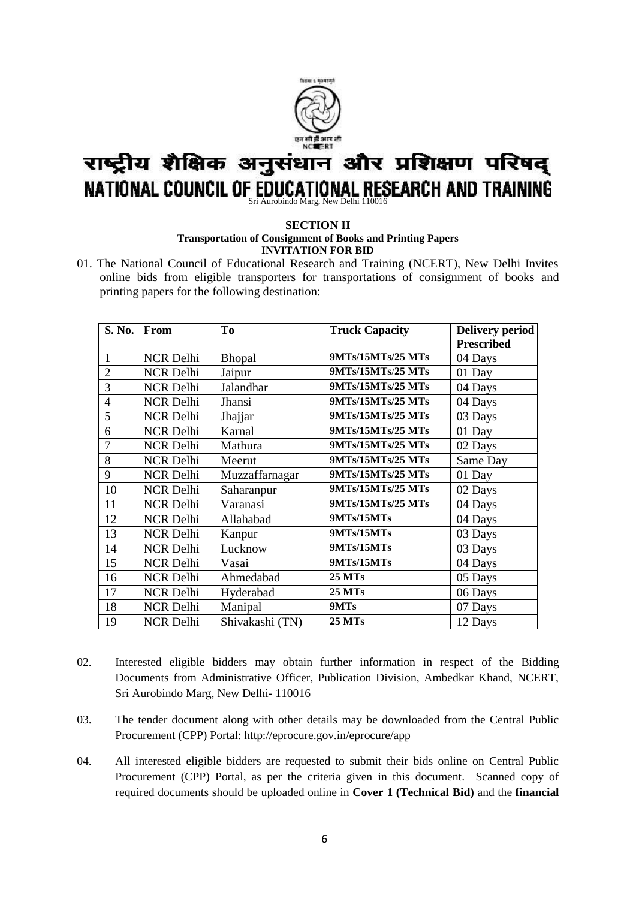

# राष्ट्रीय शैक्षिक अनुसंधान और प्रशिक्षण परिषद् NATIONAL COUNCIL OF EDUCATIONAL RESEARCH AND TRAINING

#### **SECTION II**

#### **Transportation of Consignment of Books and Printing Papers INVITATION FOR BID**

01. The National Council of Educational Research and Training (NCERT), New Delhi Invites online bids from eligible transporters for transportations of consignment of books and printing papers for the following destination:

| <b>S. No.</b>  | From             | To              | <b>Truck Capacity</b> | <b>Delivery period</b> |  |
|----------------|------------------|-----------------|-----------------------|------------------------|--|
|                |                  |                 |                       | <b>Prescribed</b>      |  |
| 1              | <b>NCR Delhi</b> | Bhopal          | 9MTs/15MTs/25 MTs     | 04 Days                |  |
| $\overline{2}$ | <b>NCR Delhi</b> | Jaipur          | 9MTs/15MTs/25 MTs     | 01 Day                 |  |
| 3              | <b>NCR Delhi</b> | Jalandhar       | 9MTs/15MTs/25 MTs     | 04 Days                |  |
| 4              | <b>NCR Delhi</b> | Jhansi          | 9MTs/15MTs/25 MTs     | 04 Days                |  |
| 5              | <b>NCR Delhi</b> | Jhajjar         | 9MTs/15MTs/25 MTs     | 03 Days                |  |
| 6              | <b>NCR Delhi</b> | Karnal          | 9MTs/15MTs/25 MTs     | 01 Day                 |  |
| 7              | <b>NCR Delhi</b> | Mathura         | 9MTs/15MTs/25 MTs     | 02 Days                |  |
| 8              | <b>NCR Delhi</b> | Meerut          | 9MTs/15MTs/25 MTs     | Same Day               |  |
| 9              | <b>NCR Delhi</b> | Muzzaffarnagar  | 9MTs/15MTs/25 MTs     | 01 Day                 |  |
| 10             | <b>NCR Delhi</b> | Saharanpur      | 9MTs/15MTs/25 MTs     | 02 Days                |  |
| 11             | <b>NCR Delhi</b> | Varanasi        | 9MTs/15MTs/25 MTs     | 04 Days                |  |
| 12             | <b>NCR Delhi</b> | Allahabad       | 9MTs/15MTs            | 04 Days                |  |
| 13             | <b>NCR Delhi</b> | Kanpur          | 9MTs/15MTs            | 03 Days                |  |
| 14             | <b>NCR Delhi</b> | Lucknow         | 9MTs/15MTs            | 03 Days                |  |
| 15             | <b>NCR Delhi</b> | Vasai           | 9MTs/15MTs            | 04 Days                |  |
| 16             | <b>NCR Delhi</b> | Ahmedabad       | <b>25 MTs</b>         | 05 Days                |  |
| 17             | <b>NCR Delhi</b> | Hyderabad       | <b>25 MTs</b>         | 06 Days                |  |
| 18             | <b>NCR Delhi</b> | Manipal         | 9MTs                  | 07 Days                |  |
| 19             | <b>NCR Delhi</b> | Shivakashi (TN) | <b>25 MTs</b>         | 12 Days                |  |

- 02. Interested eligible bidders may obtain further information in respect of the Bidding Documents from Administrative Officer, Publication Division, Ambedkar Khand, NCERT, Sri Aurobindo Marg, New Delhi- 110016
- 03. The tender document along with other details may be downloaded from the Central Public Procurement (CPP) Portal: http://eprocure.gov.in/eprocure/app
- 04. All interested eligible bidders are requested to submit their bids online on Central Public Procurement (CPP) Portal, as per the criteria given in this document. Scanned copy of required documents should be uploaded online in **Cover 1 (Technical Bid)** and the **financial**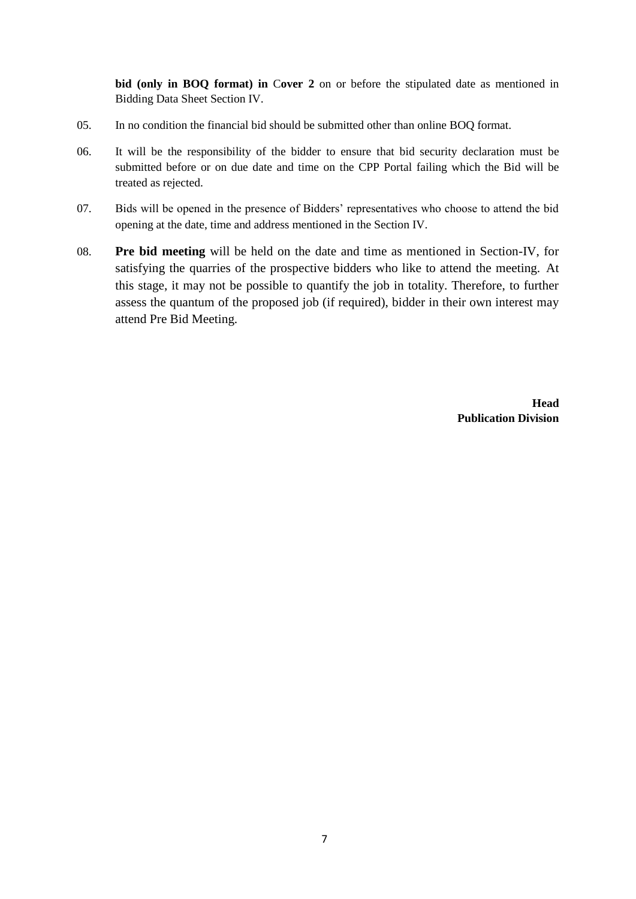**bid (only in BOQ format) in** C**over 2** on or before the stipulated date as mentioned in Bidding Data Sheet Section IV.

- 05. In no condition the financial bid should be submitted other than online BOQ format.
- 06. It will be the responsibility of the bidder to ensure that bid security declaration must be submitted before or on due date and time on the CPP Portal failing which the Bid will be treated as rejected.
- 07. Bids will be opened in the presence of Bidders" representatives who choose to attend the bid opening at the date, time and address mentioned in the Section IV.
- 08. **Pre bid meeting** will be held on the date and time as mentioned in Section-IV, for satisfying the quarries of the prospective bidders who like to attend the meeting. At this stage, it may not be possible to quantify the job in totality. Therefore, to further assess the quantum of the proposed job (if required), bidder in their own interest may attend Pre Bid Meeting.

**Head Publication Division**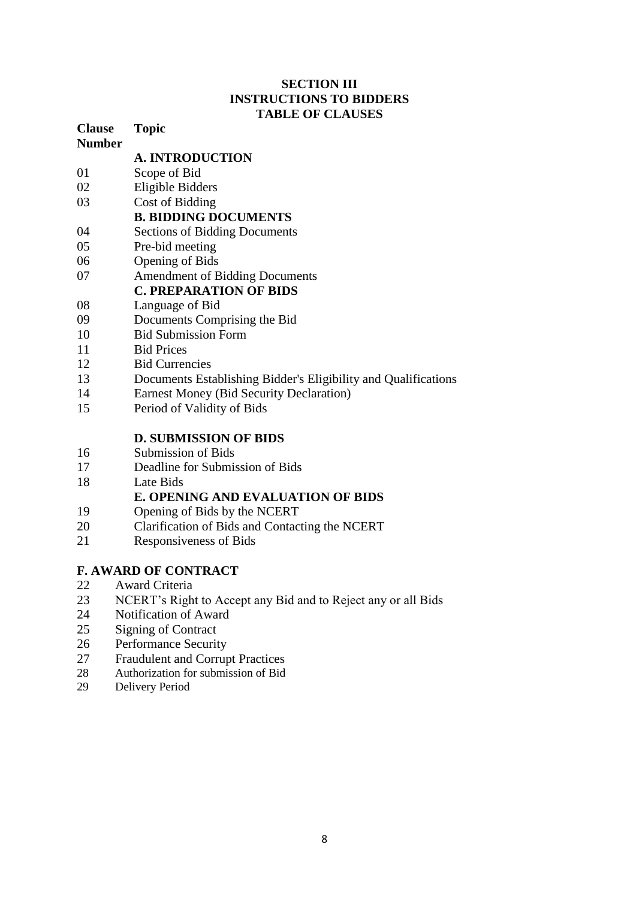## **SECTION III INSTRUCTIONS TO BIDDERS TABLE OF CLAUSES**

| <b>Clause</b> | <b>Topic</b>                                                   |
|---------------|----------------------------------------------------------------|
| <b>Number</b> |                                                                |
|               | <b>A. INTRODUCTION</b>                                         |
| 01            | Scope of Bid                                                   |
| 02            | Eligible Bidders                                               |
| 03            | Cost of Bidding                                                |
|               | <b>B. BIDDING DOCUMENTS</b>                                    |
| 04            | <b>Sections of Bidding Documents</b>                           |
| 05            | Pre-bid meeting                                                |
| 06            | <b>Opening of Bids</b>                                         |
| 07            | <b>Amendment of Bidding Documents</b>                          |
|               | <b>C. PREPARATION OF BIDS</b>                                  |
| 08            | Language of Bid                                                |
| 09            | Documents Comprising the Bid                                   |
| 10            | <b>Bid Submission Form</b>                                     |
| 11            | <b>Bid Prices</b>                                              |
| 12            | <b>Bid Currencies</b>                                          |
| 13            | Documents Establishing Bidder's Eligibility and Qualifications |
| 14            | <b>Earnest Money (Bid Security Declaration)</b>                |
| 15            | Period of Validity of Bids                                     |
|               | <b>D. SUBMISSION OF BIDS</b>                                   |
| 16            | Submission of Bids                                             |
| 17            | Deadline for Submission of Bids                                |
| 18            | Late Bids                                                      |
|               | <b>E. OPENING AND EVALUATION OF BIDS</b>                       |
| 19            | Opening of Bids by the NCERT                                   |
| 20            | Clarification of Bids and Contacting the NCERT                 |
| 21            | Responsiveness of Bids                                         |
|               | <b>F. AWARD OF CONTRACT</b>                                    |

- 22 Award Criteria
- 23 NCERT's Right to Accept any Bid and to Reject any or all Bids<br>24 Notification of Award
- 24 Notification of Award<br>25 Signing of Contract
- Signing of Contract
- 26 Performance Security<br>27 Fraudulent and Corrup
- 27 Fraudulent and Corrupt Practices<br>28 Authorization for submission of Bid
- Authorization for submission of Bid
- 29 Delivery Period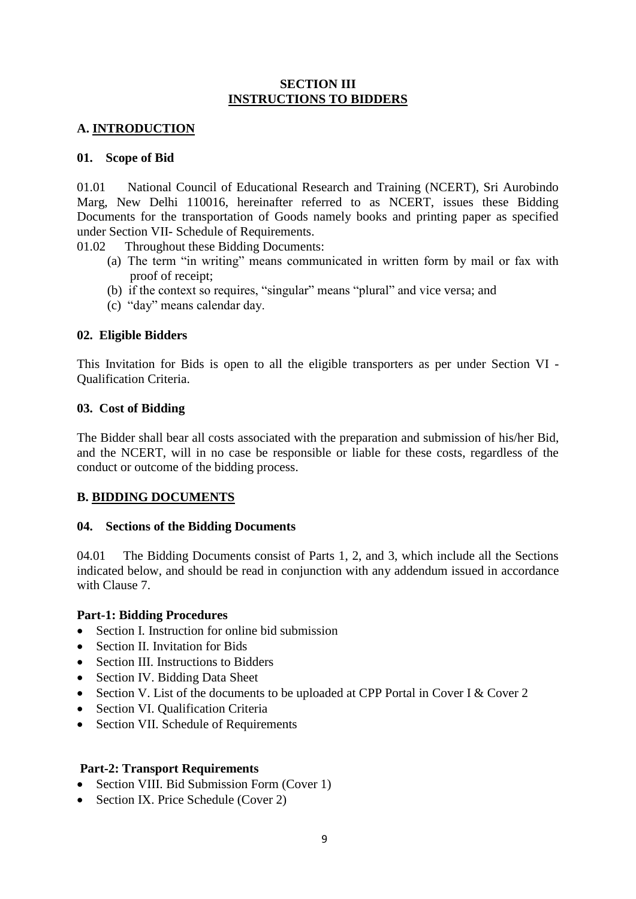## **SECTION III INSTRUCTIONS TO BIDDERS**

## **A. INTRODUCTION**

## **01. Scope of Bid**

01.01 National Council of Educational Research and Training (NCERT), Sri Aurobindo Marg, New Delhi 110016, hereinafter referred to as NCERT, issues these Bidding Documents for the transportation of Goods namely books and printing paper as specified under Section VII- Schedule of Requirements.

01.02 Throughout these Bidding Documents:

- (a) The term "in writing" means communicated in written form by mail or fax with proof of receipt;
- (b) if the context so requires, "singular" means "plural" and vice versa; and
- (c) "day" means calendar day.

## **02. Eligible Bidders**

This Invitation for Bids is open to all the eligible transporters as per under Section VI - Qualification Criteria.

## **03. Cost of Bidding**

The Bidder shall bear all costs associated with the preparation and submission of his/her Bid, and the NCERT, will in no case be responsible or liable for these costs, regardless of the conduct or outcome of the bidding process.

## **B. BIDDING DOCUMENTS**

## **04. Sections of the Bidding Documents**

04.01 The Bidding Documents consist of Parts 1, 2, and 3, which include all the Sections indicated below, and should be read in conjunction with any addendum issued in accordance with Clause 7.

## **Part-1: Bidding Procedures**

- Section I. Instruction for online bid submission
- Section II. Invitation for Bids
- Section III. Instructions to Bidders
- Section IV. Bidding Data Sheet
- Section V. List of the documents to be uploaded at CPP Portal in Cover I & Cover 2
- Section VI. Qualification Criteria
- Section VII. Schedule of Requirements

## **Part-2: Transport Requirements**

- Section VIII. Bid Submission Form (Cover 1)
- Section IX. Price Schedule (Cover 2)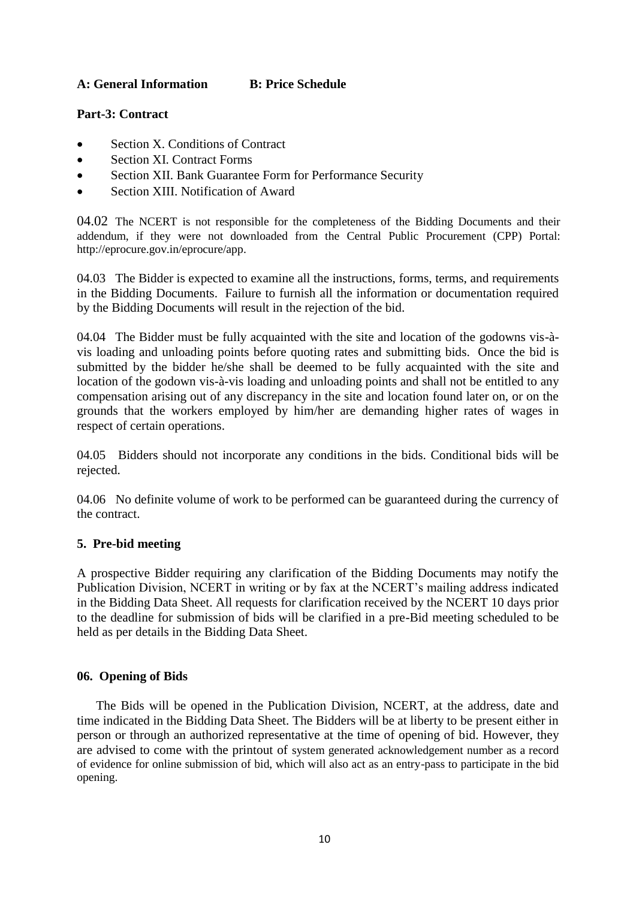## **A: General Information B: Price Schedule**

## **Part-3: Contract**

- Section X. Conditions of Contract
- Section XI. Contract Forms
- Section XII. Bank Guarantee Form for Performance Security
- Section XIII. Notification of Award

04.02 The NCERT is not responsible for the completeness of the Bidding Documents and their addendum, if they were not downloaded from the Central Public Procurement (CPP) Portal: http://eprocure.gov.in/eprocure/app.

04.03 The Bidder is expected to examine all the instructions, forms, terms, and requirements in the Bidding Documents. Failure to furnish all the information or documentation required by the Bidding Documents will result in the rejection of the bid.

04.04 The Bidder must be fully acquainted with the site and location of the godowns vis-àvis loading and unloading points before quoting rates and submitting bids. Once the bid is submitted by the bidder he/she shall be deemed to be fully acquainted with the site and location of the godown vis-à-vis loading and unloading points and shall not be entitled to any compensation arising out of any discrepancy in the site and location found later on, or on the grounds that the workers employed by him/her are demanding higher rates of wages in respect of certain operations.

04.05 Bidders should not incorporate any conditions in the bids. Conditional bids will be rejected.

04.06 No definite volume of work to be performed can be guaranteed during the currency of the contract.

## **5. Pre-bid meeting**

A prospective Bidder requiring any clarification of the Bidding Documents may notify the Publication Division, NCERT in writing or by fax at the NCERT"s mailing address indicated in the Bidding Data Sheet. All requests for clarification received by the NCERT 10 days prior to the deadline for submission of bids will be clarified in a pre-Bid meeting scheduled to be held as per details in the Bidding Data Sheet.

## **06. Opening of Bids**

The Bids will be opened in the Publication Division, NCERT, at the address, date and time indicated in the Bidding Data Sheet. The Bidders will be at liberty to be present either in person or through an authorized representative at the time of opening of bid. However, they are advised to come with the printout of system generated acknowledgement number as a record of evidence for online submission of bid, which will also act as an entry-pass to participate in the bid opening.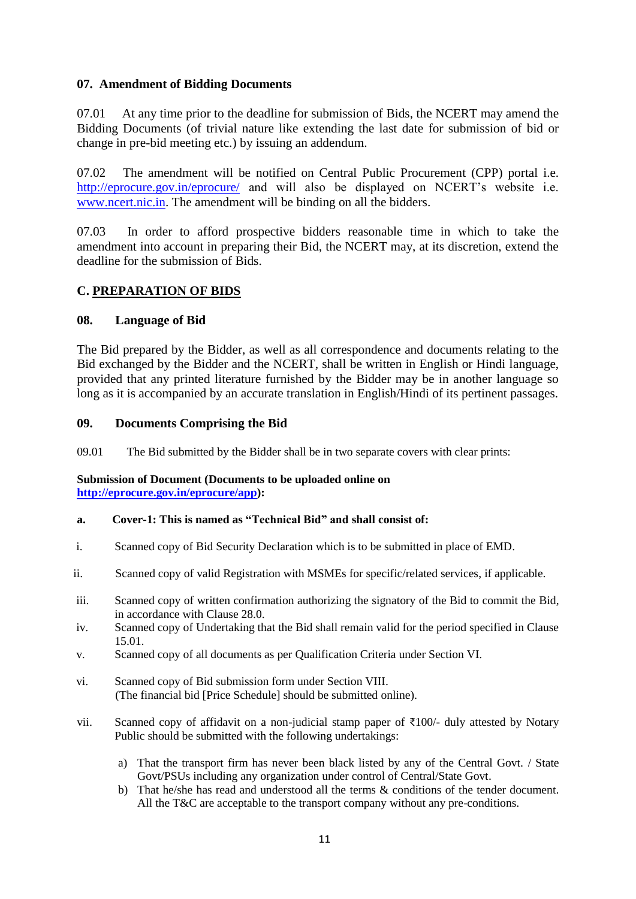## **07. Amendment of Bidding Documents**

07.01 At any time prior to the deadline for submission of Bids, the NCERT may amend the Bidding Documents (of trivial nature like extending the last date for submission of bid or change in pre-bid meeting etc.) by issuing an addendum.

07.02 The amendment will be notified on Central Public Procurement (CPP) portal i.e. http://eprocure.gov.in/eprocure/ and will also be displayed on NCERT's website i.e. [www.ncert.nic.in.](http://www.ncert.nic.in/) The amendment will be binding on all the bidders.

07.03 In order to afford prospective bidders reasonable time in which to take the amendment into account in preparing their Bid, the NCERT may, at its discretion, extend the deadline for the submission of Bids.

## **C. PREPARATION OF BIDS**

## **08. Language of Bid**

The Bid prepared by the Bidder, as well as all correspondence and documents relating to the Bid exchanged by the Bidder and the NCERT, shall be written in English or Hindi language, provided that any printed literature furnished by the Bidder may be in another language so long as it is accompanied by an accurate translation in English/Hindi of its pertinent passages.

## **09. Documents Comprising the Bid**

09.01 The Bid submitted by the Bidder shall be in two separate covers with clear prints:

#### **Submission of Document (Documents to be uploaded online on http://eprocure.gov.in/eprocure/app):**

#### **a. Cover-1: This is named as "Technical Bid" and shall consist of:**

- i. Scanned copy of Bid Security Declaration which is to be submitted in place of EMD.
- ii. Scanned copy of valid Registration with MSMEs for specific/related services, if applicable.
- iii. Scanned copy of written confirmation authorizing the signatory of the Bid to commit the Bid, in accordance with Clause 28.0.
- iv. Scanned copy of Undertaking that the Bid shall remain valid for the period specified in Clause 15.01.
- v. Scanned copy of all documents as per Qualification Criteria under Section VI.
- vi. Scanned copy of Bid submission form under Section VIII. (The financial bid [Price Schedule] should be submitted online).
- vii. Scanned copy of affidavit on a non-judicial stamp paper of ₹100/- duly attested by Notary Public should be submitted with the following undertakings:
	- a) That the transport firm has never been black listed by any of the Central Govt. / State Govt/PSUs including any organization under control of Central/State Govt.
	- b) That he/she has read and understood all the terms & conditions of the tender document. All the T&C are acceptable to the transport company without any pre-conditions.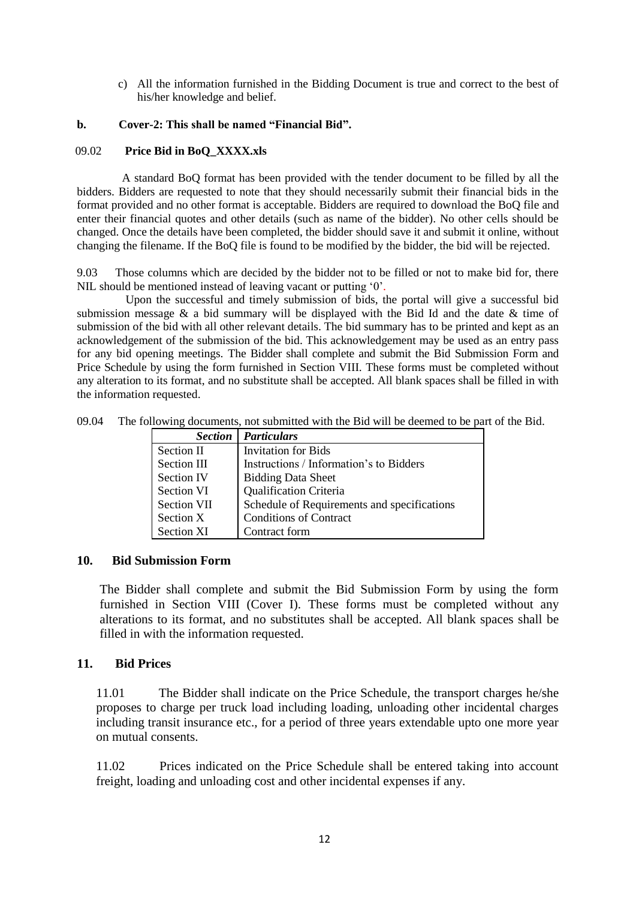c) All the information furnished in the Bidding Document is true and correct to the best of his/her knowledge and belief.

## **b. Cover-2: This shall be named "Financial Bid".**

#### 09.02 **Price Bid in BoQ\_XXXX.xls**

A standard BoQ format has been provided with the tender document to be filled by all the bidders. Bidders are requested to note that they should necessarily submit their financial bids in the format provided and no other format is acceptable. Bidders are required to download the BoQ file and enter their financial quotes and other details (such as name of the bidder). No other cells should be changed. Once the details have been completed, the bidder should save it and submit it online, without changing the filename. If the BoQ file is found to be modified by the bidder, the bid will be rejected.

9.03 Those columns which are decided by the bidder not to be filled or not to make bid for, there NIL should be mentioned instead of leaving vacant or putting "0".

Upon the successful and timely submission of bids, the portal will give a successful bid submission message & a bid summary will be displayed with the Bid Id and the date & time of submission of the bid with all other relevant details. The bid summary has to be printed and kept as an acknowledgement of the submission of the bid. This acknowledgement may be used as an entry pass for any bid opening meetings. The Bidder shall complete and submit the Bid Submission Form and Price Schedule by using the form furnished in Section VIII. These forms must be completed without any alteration to its format, and no substitute shall be accepted. All blank spaces shall be filled in with the information requested.

| <b>Section</b>     | <b>Particulars</b>                          |
|--------------------|---------------------------------------------|
| Section II         | <b>Invitation for Bids</b>                  |
| Section III        | Instructions / Information's to Bidders     |
| <b>Section IV</b>  | <b>Bidding Data Sheet</b>                   |
| Section VI         | <b>Qualification Criteria</b>               |
| <b>Section VII</b> | Schedule of Requirements and specifications |
| Section X          | <b>Conditions of Contract</b>               |
| <b>Section XI</b>  | Contract form                               |

09.04 The following documents, not submitted with the Bid will be deemed to be part of the Bid.

#### **10. Bid Submission Form**

The Bidder shall complete and submit the Bid Submission Form by using the form furnished in Section VIII (Cover I). These forms must be completed without any alterations to its format, and no substitutes shall be accepted. All blank spaces shall be filled in with the information requested.

## **11. Bid Prices**

11.01 The Bidder shall indicate on the Price Schedule, the transport charges he/she proposes to charge per truck load including loading, unloading other incidental charges including transit insurance etc., for a period of three years extendable upto one more year on mutual consents.

11.02 Prices indicated on the Price Schedule shall be entered taking into account freight, loading and unloading cost and other incidental expenses if any.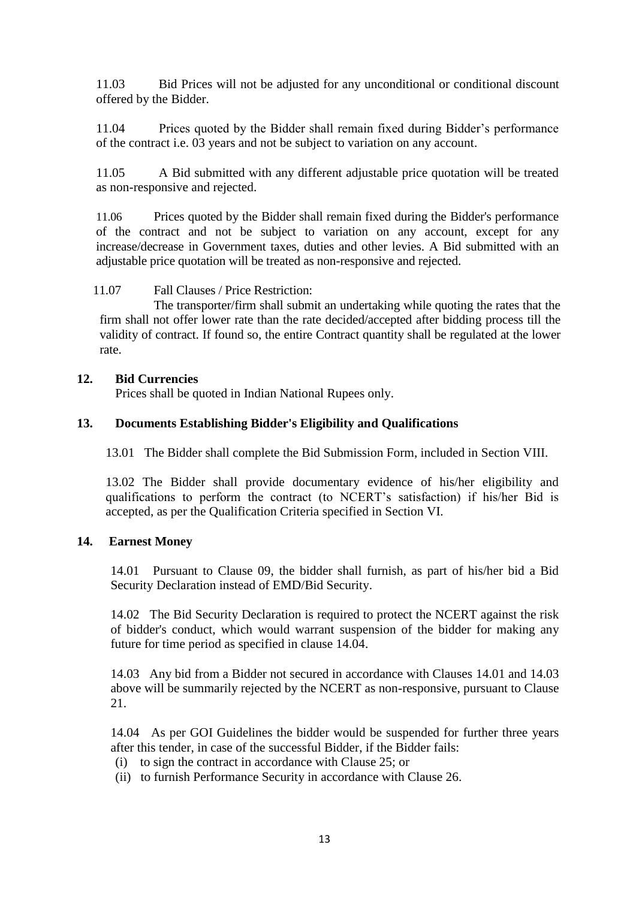11.03 Bid Prices will not be adjusted for any unconditional or conditional discount offered by the Bidder.

11.04 Prices quoted by the Bidder shall remain fixed during Bidder"s performance of the contract i.e. 03 years and not be subject to variation on any account.

11.05 A Bid submitted with any different adjustable price quotation will be treated as non-responsive and rejected.

11.06 Prices quoted by the Bidder shall remain fixed during the Bidder's performance of the contract and not be subject to variation on any account, except for any increase/decrease in Government taxes, duties and other levies. A Bid submitted with an adjustable price quotation will be treated as non-responsive and rejected.

11.07 Fall Clauses / Price Restriction:

The transporter/firm shall submit an undertaking while quoting the rates that the firm shall not offer lower rate than the rate decided/accepted after bidding process till the validity of contract. If found so, the entire Contract quantity shall be regulated at the lower rate.

## **12. Bid Currencies**

Prices shall be quoted in Indian National Rupees only.

## **13. Documents Establishing Bidder's Eligibility and Qualifications**

13.01 The Bidder shall complete the Bid Submission Form, included in Section VIII.

13.02 The Bidder shall provide documentary evidence of his/her eligibility and qualifications to perform the contract (to NCERT"s satisfaction) if his/her Bid is accepted, as per the Qualification Criteria specified in Section VI.

## **14. Earnest Money**

14.01 Pursuant to Clause 09, the bidder shall furnish, as part of his/her bid a Bid Security Declaration instead of EMD/Bid Security.

14.02 The Bid Security Declaration is required to protect the NCERT against the risk of bidder's conduct, which would warrant suspension of the bidder for making any future for time period as specified in clause 14.04.

14.03 Any bid from a Bidder not secured in accordance with Clauses 14.01 and 14.03 above will be summarily rejected by the NCERT as non-responsive, pursuant to Clause 21.

14.04 As per GOI Guidelines the bidder would be suspended for further three years after this tender, in case of the successful Bidder, if the Bidder fails:

- (i) to sign the contract in accordance with Clause 25; or
- (ii) to furnish Performance Security in accordance with Clause 26.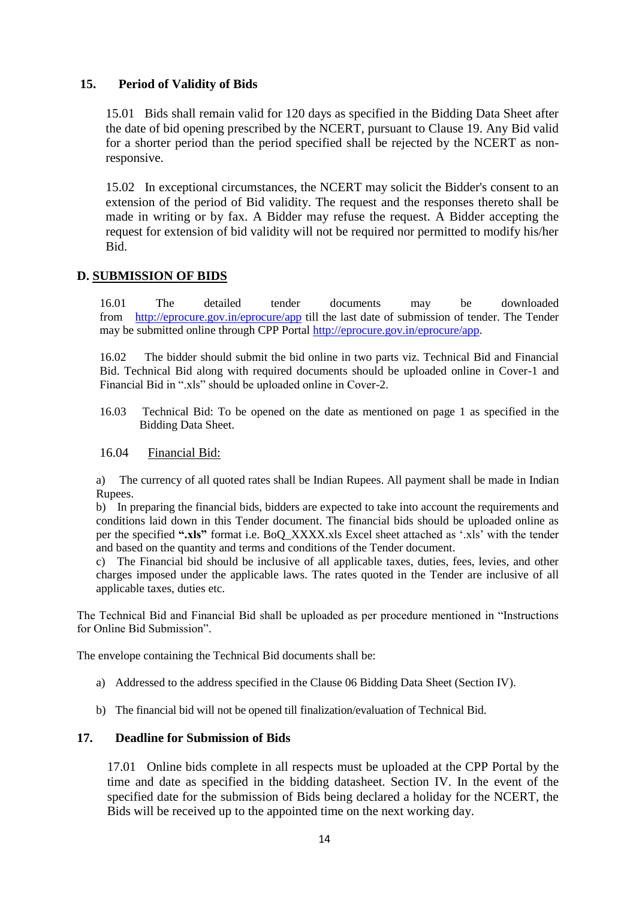## **15. Period of Validity of Bids**

15.01 Bids shall remain valid for 120 days as specified in the Bidding Data Sheet after the date of bid opening prescribed by the NCERT, pursuant to Clause 19. Any Bid valid for a shorter period than the period specified shall be rejected by the NCERT as nonresponsive.

15.02 In exceptional circumstances, the NCERT may solicit the Bidder's consent to an extension of the period of Bid validity. The request and the responses thereto shall be made in writing or by fax. A Bidder may refuse the request. A Bidder accepting the request for extension of bid validity will not be required nor permitted to modify his/her Bid.

## **D. SUBMISSION OF BIDS**

16.01 The detailed tender documents may be downloaded from <http://eprocure.gov.in/eprocure/app> till the last date of submission of tender. The Tender may be submitted online through CPP Portal [http://eprocure.gov.in/eprocure/app.](http://eprocure.gov.in/eprocure/app)

16.02 The bidder should submit the bid online in two parts viz. Technical Bid and Financial Bid. Technical Bid along with required documents should be uploaded online in Cover-1 and Financial Bid in ".xls" should be uploaded online in Cover-2.

16.03 Technical Bid: To be opened on the date as mentioned on page 1 as specified in the Bidding Data Sheet.

#### 16.04 Financial Bid:

a) The currency of all quoted rates shall be Indian Rupees. All payment shall be made in Indian Rupees.

b) In preparing the financial bids, bidders are expected to take into account the requirements and conditions laid down in this Tender document. The financial bids should be uploaded online as per the specified **".xls"** format i.e. BoQ\_XXXX.xls Excel sheet attached as ".xls" with the tender and based on the quantity and terms and conditions of the Tender document.

c) The Financial bid should be inclusive of all applicable taxes, duties, fees, levies, and other charges imposed under the applicable laws. The rates quoted in the Tender are inclusive of all applicable taxes, duties etc.

The Technical Bid and Financial Bid shall be uploaded as per procedure mentioned in "Instructions for Online Bid Submission".

The envelope containing the Technical Bid documents shall be:

- a) Addressed to the address specified in the Clause 06 Bidding Data Sheet (Section IV).
- b) The financial bid will not be opened till finalization/evaluation of Technical Bid.

## **17. Deadline for Submission of Bids**

17.01 Online bids complete in all respects must be uploaded at the CPP Portal by the time and date as specified in the bidding datasheet. Section IV. In the event of the specified date for the submission of Bids being declared a holiday for the NCERT, the Bids will be received up to the appointed time on the next working day.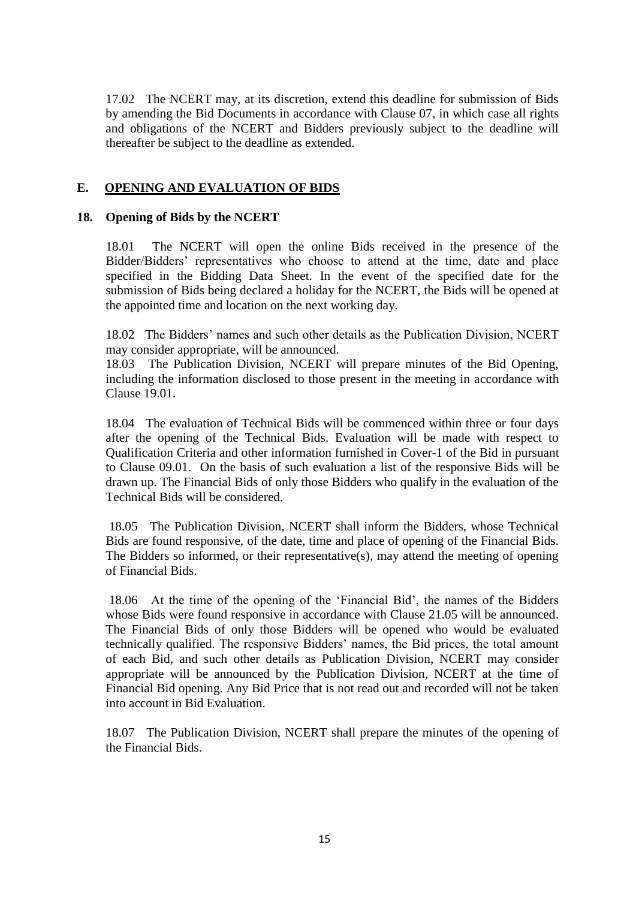17.02 The NCERT may, at its discretion, extend this deadline for submission of Bids by amending the Bid Documents in accordance with Clause 07, in which case all rights and obligations of the NCERT and Bidders previously subject to the deadline will thereafter be subject to the deadline as extended.

## **E. OPENING AND EVALUATION OF BIDS**

## **18. Opening of Bids by the NCERT**

18.01 The NCERT will open the online Bids received in the presence of the Bidder/Bidders" representatives who choose to attend at the time, date and place specified in the Bidding Data Sheet. In the event of the specified date for the submission of Bids being declared a holiday for the NCERT, the Bids will be opened at the appointed time and location on the next working day.

18.02 The Bidders" names and such other details as the Publication Division, NCERT may consider appropriate, will be announced.

18.03 The Publication Division, NCERT will prepare minutes of the Bid Opening, including the information disclosed to those present in the meeting in accordance with Clause 19.01.

18.04 The evaluation of Technical Bids will be commenced within three or four days after the opening of the Technical Bids. Evaluation will be made with respect to Qualification Criteria and other information furnished in Cover-1 of the Bid in pursuant to Clause 09.01. On the basis of such evaluation a list of the responsive Bids will be drawn up. The Financial Bids of only those Bidders who qualify in the evaluation of the Technical Bids will be considered.

18.05 The Publication Division, NCERT shall inform the Bidders, whose Technical Bids are found responsive, of the date, time and place of opening of the Financial Bids. The Bidders so informed, or their representative(s), may attend the meeting of opening of Financial Bids.

18.06 At the time of the opening of the "Financial Bid", the names of the Bidders whose Bids were found responsive in accordance with Clause 21.05 will be announced. The Financial Bids of only those Bidders will be opened who would be evaluated technically qualified. The responsive Bidders" names, the Bid prices, the total amount of each Bid, and such other details as Publication Division, NCERT may consider appropriate will be announced by the Publication Division, NCERT at the time of Financial Bid opening. Any Bid Price that is not read out and recorded will not be taken into account in Bid Evaluation.

18.07 The Publication Division, NCERT shall prepare the minutes of the opening of the Financial Bids.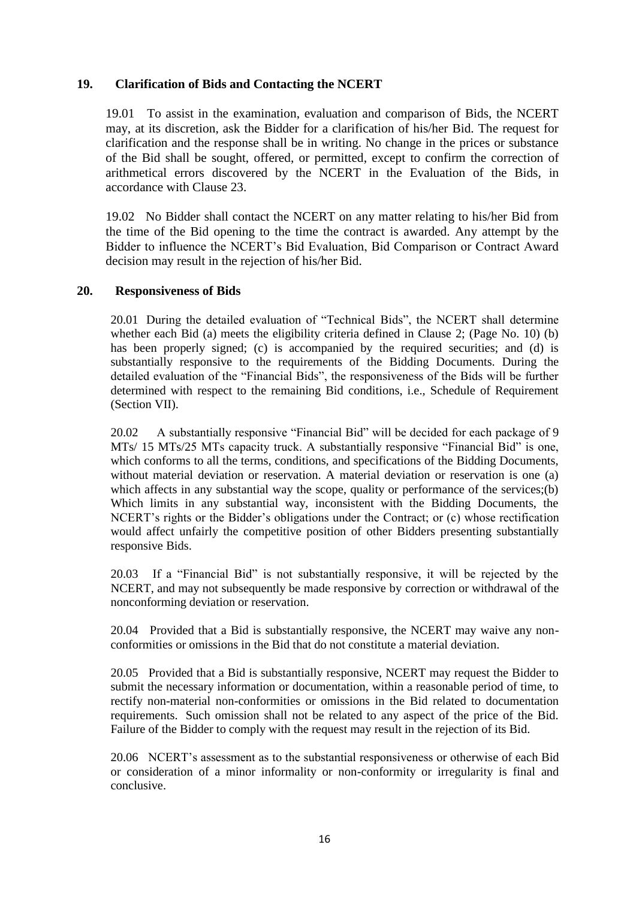## **19. Clarification of Bids and Contacting the NCERT**

19.01 To assist in the examination, evaluation and comparison of Bids, the NCERT may, at its discretion, ask the Bidder for a clarification of his/her Bid. The request for clarification and the response shall be in writing. No change in the prices or substance of the Bid shall be sought, offered, or permitted, except to confirm the correction of arithmetical errors discovered by the NCERT in the Evaluation of the Bids, in accordance with Clause 23.

19.02 No Bidder shall contact the NCERT on any matter relating to his/her Bid from the time of the Bid opening to the time the contract is awarded. Any attempt by the Bidder to influence the NCERT"s Bid Evaluation, Bid Comparison or Contract Award decision may result in the rejection of his/her Bid.

## **20. Responsiveness of Bids**

20.01 During the detailed evaluation of "Technical Bids", the NCERT shall determine whether each Bid (a) meets the eligibility criteria defined in Clause 2; (Page No. 10) (b) has been properly signed; (c) is accompanied by the required securities; and (d) is substantially responsive to the requirements of the Bidding Documents. During the detailed evaluation of the "Financial Bids", the responsiveness of the Bids will be further determined with respect to the remaining Bid conditions, i.e., Schedule of Requirement (Section VII).

20.02 A substantially responsive "Financial Bid" will be decided for each package of 9 MTs/ 15 MTs/25 MTs capacity truck. A substantially responsive "Financial Bid" is one, which conforms to all the terms, conditions, and specifications of the Bidding Documents, without material deviation or reservation. A material deviation or reservation is one (a) which affects in any substantial way the scope, quality or performance of the services;(b) Which limits in any substantial way, inconsistent with the Bidding Documents, the NCERT's rights or the Bidder's obligations under the Contract; or (c) whose rectification would affect unfairly the competitive position of other Bidders presenting substantially responsive Bids.

20.03 If a "Financial Bid" is not substantially responsive, it will be rejected by the NCERT, and may not subsequently be made responsive by correction or withdrawal of the nonconforming deviation or reservation.

20.04 Provided that a Bid is substantially responsive, the NCERT may waive any nonconformities or omissions in the Bid that do not constitute a material deviation.

20.05 Provided that a Bid is substantially responsive, NCERT may request the Bidder to submit the necessary information or documentation, within a reasonable period of time, to rectify non-material non-conformities or omissions in the Bid related to documentation requirements. Such omission shall not be related to any aspect of the price of the Bid. Failure of the Bidder to comply with the request may result in the rejection of its Bid.

20.06 NCERT"s assessment as to the substantial responsiveness or otherwise of each Bid or consideration of a minor informality or non-conformity or irregularity is final and conclusive.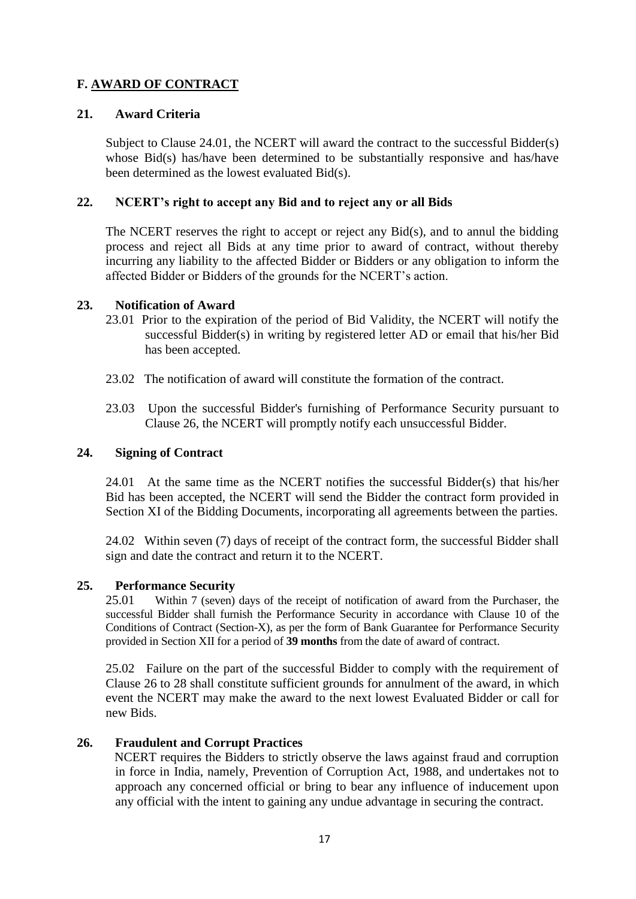## **F. AWARD OF CONTRACT**

## **21. Award Criteria**

Subject to Clause 24.01, the NCERT will award the contract to the successful Bidder(s) whose Bid(s) has/have been determined to be substantially responsive and has/have been determined as the lowest evaluated Bid(s).

## **22. NCERT's right to accept any Bid and to reject any or all Bids**

The NCERT reserves the right to accept or reject any Bid(s), and to annul the bidding process and reject all Bids at any time prior to award of contract, without thereby incurring any liability to the affected Bidder or Bidders or any obligation to inform the affected Bidder or Bidders of the grounds for the NCERT"s action.

## **23. Notification of Award**

- 23.01 Prior to the expiration of the period of Bid Validity, the NCERT will notify the successful Bidder(s) in writing by registered letter AD or email that his/her Bid has been accepted.
- 23.02 The notification of award will constitute the formation of the contract.
- 23.03 Upon the successful Bidder's furnishing of Performance Security pursuant to Clause 26, the NCERT will promptly notify each unsuccessful Bidder.

## **24. Signing of Contract**

24.01 At the same time as the NCERT notifies the successful Bidder(s) that his/her Bid has been accepted, the NCERT will send the Bidder the contract form provided in Section XI of the Bidding Documents, incorporating all agreements between the parties.

24.02 Within seven (7) days of receipt of the contract form, the successful Bidder shall sign and date the contract and return it to the NCERT.

## **25. Performance Security**

25.01 Within 7 (seven) days of the receipt of notification of award from the Purchaser, the successful Bidder shall furnish the Performance Security in accordance with Clause 10 of the Conditions of Contract (Section-X), as per the form of Bank Guarantee for Performance Security provided in Section XII for a period of **39 months** from the date of award of contract.

25.02 Failure on the part of the successful Bidder to comply with the requirement of Clause 26 to 28 shall constitute sufficient grounds for annulment of the award, in which event the NCERT may make the award to the next lowest Evaluated Bidder or call for new Bids.

## **26. Fraudulent and Corrupt Practices**

 NCERT requires the Bidders to strictly observe the laws against fraud and corruption in force in India, namely, Prevention of Corruption Act, 1988, and undertakes not to approach any concerned official or bring to bear any influence of inducement upon any official with the intent to gaining any undue advantage in securing the contract.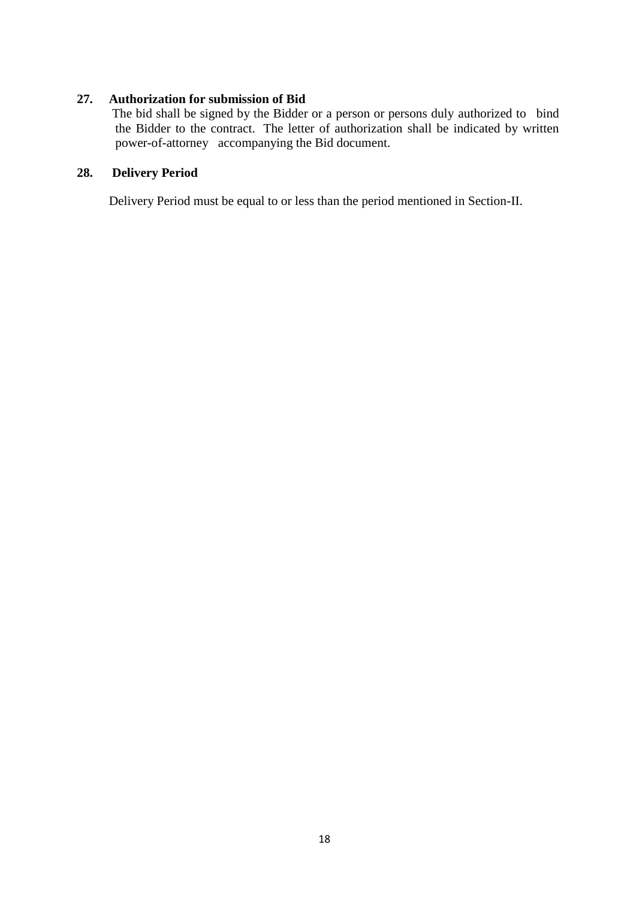## **27. Authorization for submission of Bid**

The bid shall be signed by the Bidder or a person or persons duly authorized to bind the Bidder to the contract. The letter of authorization shall be indicated by written power-of-attorney accompanying the Bid document.

## **28. Delivery Period**

Delivery Period must be equal to or less than the period mentioned in Section-II.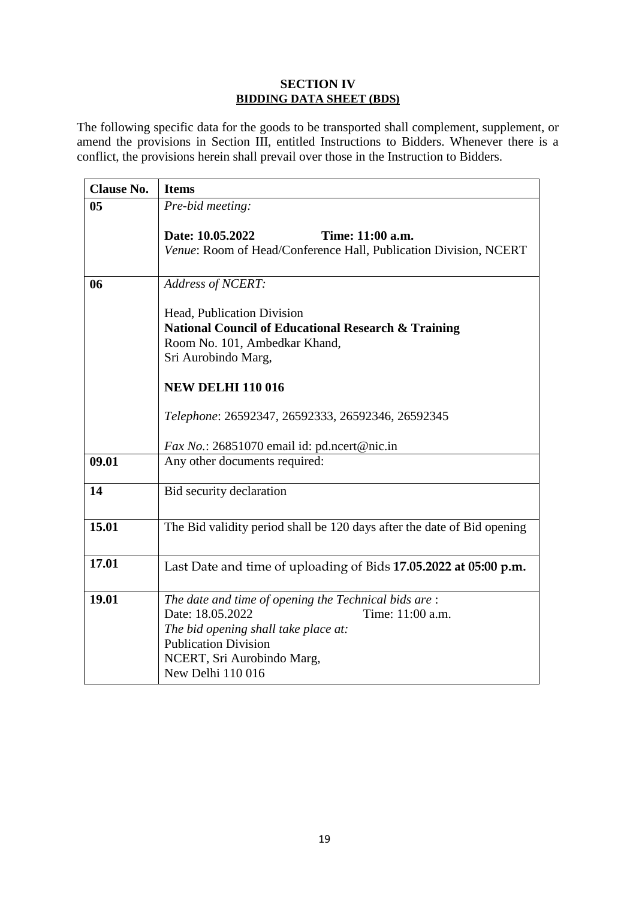## **SECTION IV BIDDING DATA SHEET (BDS)**

The following specific data for the goods to be transported shall complement, supplement, or amend the provisions in Section III, entitled Instructions to Bidders. Whenever there is a conflict, the provisions herein shall prevail over those in the Instruction to Bidders.

| <b>Clause No.</b> | <b>Items</b>                                                            |
|-------------------|-------------------------------------------------------------------------|
| 0 <sub>5</sub>    | Pre-bid meeting:                                                        |
|                   | Date: 10.05.2022<br>Time: 11:00 a.m.                                    |
|                   | Venue: Room of Head/Conference Hall, Publication Division, NCERT        |
|                   |                                                                         |
| 06                | <b>Address of NCERT:</b>                                                |
|                   | Head, Publication Division                                              |
|                   | <b>National Council of Educational Research &amp; Training</b>          |
|                   | Room No. 101, Ambedkar Khand,                                           |
|                   | Sri Aurobindo Marg,                                                     |
|                   |                                                                         |
|                   | <b>NEW DELHI 110 016</b>                                                |
|                   | Telephone: 26592347, 26592333, 26592346, 26592345                       |
|                   |                                                                         |
|                   | <i>Fax No.</i> : 26851070 email id: pd.ncert@nic.in                     |
| 09.01             | Any other documents required:                                           |
| 14                | Bid security declaration                                                |
|                   |                                                                         |
| 15.01             | The Bid validity period shall be 120 days after the date of Bid opening |
|                   |                                                                         |
| 17.01             | Last Date and time of uploading of Bids 17.05.2022 at 05:00 p.m.        |
|                   |                                                                         |
| 19.01             | The date and time of opening the Technical bids are:                    |
|                   | Date: 18.05.2022<br>Time: 11:00 a.m.                                    |
|                   | The bid opening shall take place at:                                    |
|                   | <b>Publication Division</b>                                             |
|                   | NCERT, Sri Aurobindo Marg,<br>New Delhi 110 016                         |
|                   |                                                                         |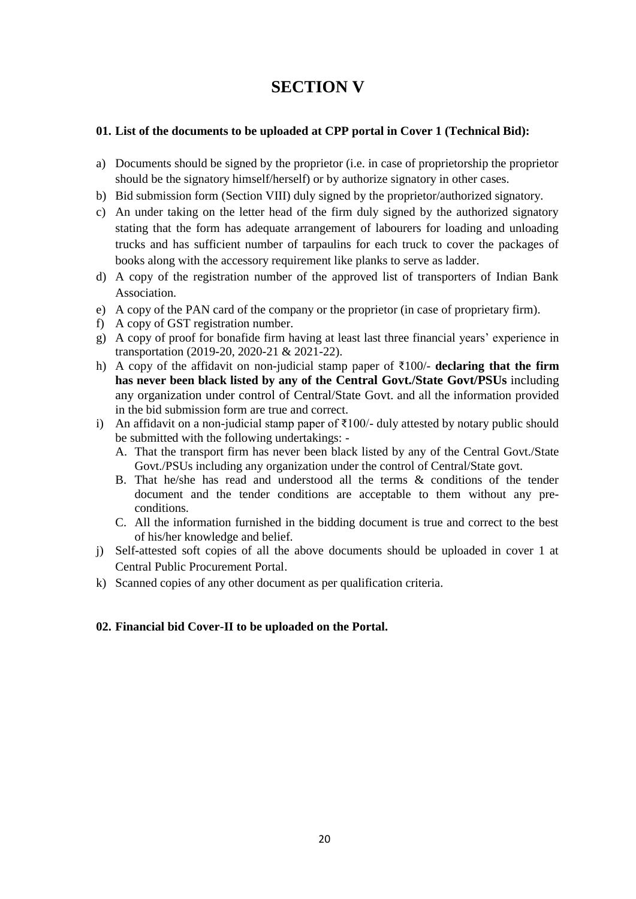## **SECTION V**

## **01. List of the documents to be uploaded at CPP portal in Cover 1 (Technical Bid):**

- a) Documents should be signed by the proprietor (i.e. in case of proprietorship the proprietor should be the signatory himself/herself) or by authorize signatory in other cases.
- b) Bid submission form (Section VIII) duly signed by the proprietor/authorized signatory.
- c) An under taking on the letter head of the firm duly signed by the authorized signatory stating that the form has adequate arrangement of labourers for loading and unloading trucks and has sufficient number of tarpaulins for each truck to cover the packages of books along with the accessory requirement like planks to serve as ladder.
- d) A copy of the registration number of the approved list of transporters of Indian Bank Association.
- e) A copy of the PAN card of the company or the proprietor (in case of proprietary firm).
- f) A copy of GST registration number.
- g) A copy of proof for bonafide firm having at least last three financial years" experience in transportation (2019-20, 2020-21 & 2021-22).
- h) A copy of the affidavit on non-judicial stamp paper of ₹100/- **declaring that the firm has never been black listed by any of the Central Govt./State Govt/PSUs** including any organization under control of Central/State Govt. and all the information provided in the bid submission form are true and correct.
- i) An affidavit on a non-judicial stamp paper of ₹100/- duly attested by notary public should be submitted with the following undertakings: -
	- A. That the transport firm has never been black listed by any of the Central Govt./State Govt./PSUs including any organization under the control of Central/State govt.
	- B. That he/she has read and understood all the terms & conditions of the tender document and the tender conditions are acceptable to them without any preconditions.
	- C. All the information furnished in the bidding document is true and correct to the best of his/her knowledge and belief.
- j) Self-attested soft copies of all the above documents should be uploaded in cover 1 at Central Public Procurement Portal.
- k) Scanned copies of any other document as per qualification criteria.

## **02. Financial bid Cover-II to be uploaded on the Portal.**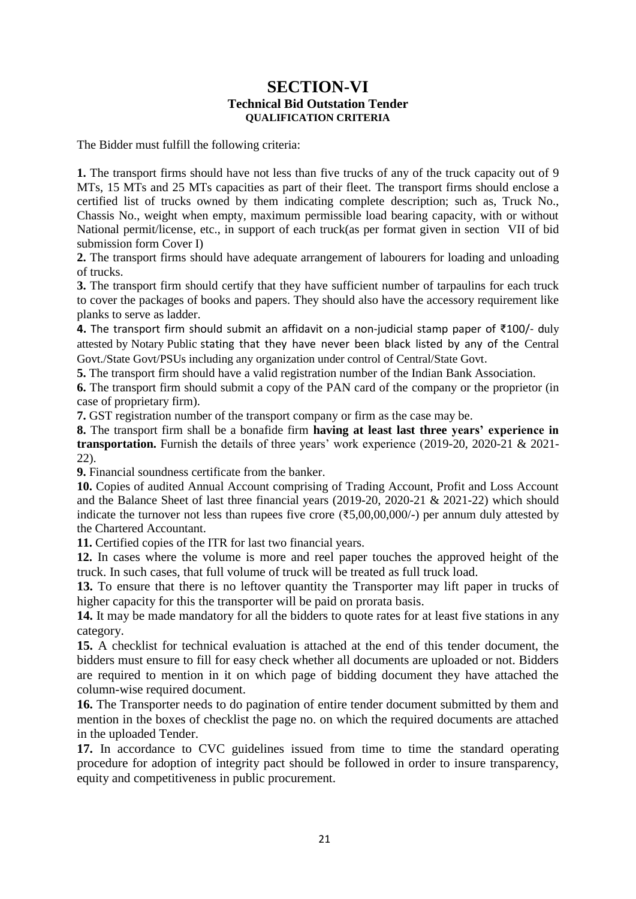## **SECTION-VI Technical Bid Outstation Tender QUALIFICATION CRITERIA**

The Bidder must fulfill the following criteria:

**1.** The transport firms should have not less than five trucks of any of the truck capacity out of 9 MTs, 15 MTs and 25 MTs capacities as part of their fleet. The transport firms should enclose a certified list of trucks owned by them indicating complete description; such as, Truck No., Chassis No., weight when empty, maximum permissible load bearing capacity, with or without National permit/license, etc., in support of each truck(as per format given in section VII of bid submission form Cover I)

**2.** The transport firms should have adequate arrangement of labourers for loading and unloading of trucks.

**3.** The transport firm should certify that they have sufficient number of tarpaulins for each truck to cover the packages of books and papers. They should also have the accessory requirement like planks to serve as ladder.

**4.** The transport firm should submit an affidavit on a non-judicial stamp paper of ₹100/- duly attested by Notary Public stating that they have never been black listed by any of the Central Govt./State Govt/PSUs including any organization under control of Central/State Govt.

**5.** The transport firm should have a valid registration number of the Indian Bank Association.

**6.** The transport firm should submit a copy of the PAN card of the company or the proprietor (in case of proprietary firm).

**7.** GST registration number of the transport company or firm as the case may be.

**8.** The transport firm shall be a bonafide firm **having at least last three years' experience in**  transportation. Furnish the details of three years' work experience (2019-20, 2020-21 & 2021-22).

**9.** Financial soundness certificate from the banker.

**10.** Copies of audited Annual Account comprising of Trading Account, Profit and Loss Account and the Balance Sheet of last three financial years (2019-20, 2020-21 & 2021-22) which should indicate the turnover not less than rupees five crore ( $\overline{(}5,00,00,000/-)$ ) per annum duly attested by the Chartered Accountant.

**11.** Certified copies of the ITR for last two financial years.

**12.** In cases where the volume is more and reel paper touches the approved height of the truck. In such cases, that full volume of truck will be treated as full truck load.

**13.** To ensure that there is no leftover quantity the Transporter may lift paper in trucks of higher capacity for this the transporter will be paid on prorata basis.

**14.** It may be made mandatory for all the bidders to quote rates for at least five stations in any category.

**15.** A checklist for technical evaluation is attached at the end of this tender document, the bidders must ensure to fill for easy check whether all documents are uploaded or not. Bidders are required to mention in it on which page of bidding document they have attached the column-wise required document.

**16.** The Transporter needs to do pagination of entire tender document submitted by them and mention in the boxes of checklist the page no. on which the required documents are attached in the uploaded Tender.

**17.** In accordance to CVC guidelines issued from time to time the standard operating procedure for adoption of integrity pact should be followed in order to insure transparency, equity and competitiveness in public procurement.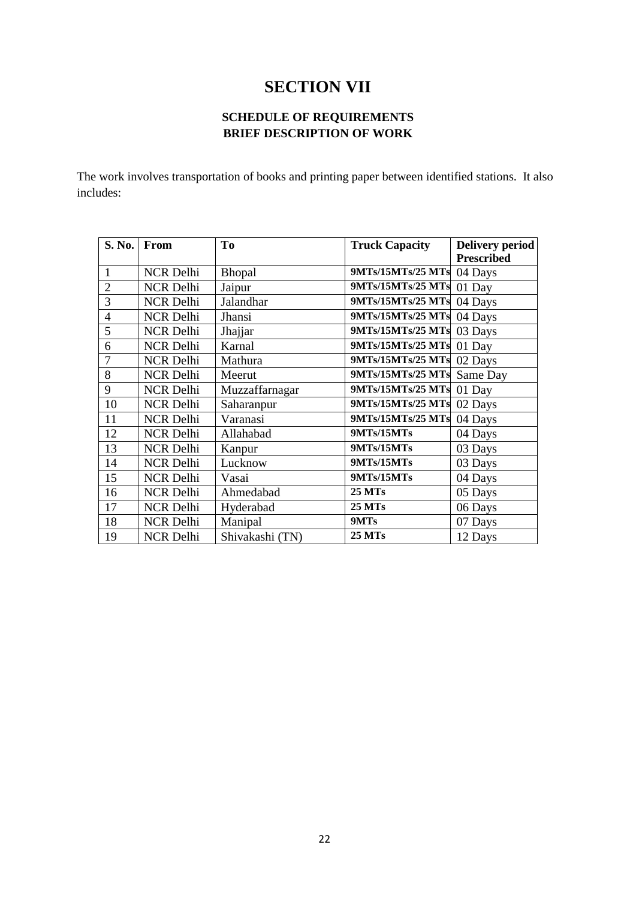## **SECTION VII**

## **SCHEDULE OF REQUIREMENTS BRIEF DESCRIPTION OF WORK**

The work involves transportation of books and printing paper between identified stations. It also includes:

| S. No.         | From             | To              | <b>Truck Capacity</b> | <b>Delivery period</b> |
|----------------|------------------|-----------------|-----------------------|------------------------|
|                |                  |                 |                       | <b>Prescribed</b>      |
| 1              | <b>NCR Delhi</b> | <b>Bhopal</b>   | 9MTs/15MTs/25 MTs     | 04 Days                |
| $\overline{2}$ | <b>NCR Delhi</b> | Jaipur          | 9MTs/15MTs/25 MTs     | 01 Day                 |
| 3              | <b>NCR Delhi</b> | Jalandhar       | 9MTs/15MTs/25 MTs     | 04 Days                |
| $\overline{4}$ | <b>NCR Delhi</b> | Jhansi          | 9MTs/15MTs/25 MTs     | 04 Days                |
| 5              | <b>NCR Delhi</b> | Jhajjar         | 9MTs/15MTs/25 MTs     | 03 Days                |
| 6              | <b>NCR Delhi</b> | Karnal          | 9MTs/15MTs/25 MTs     | 01 Day                 |
| 7              | <b>NCR Delhi</b> | Mathura         | 9MTs/15MTs/25 MTs     | 02 Days                |
| 8              | <b>NCR Delhi</b> | Meerut          | 9MTs/15MTs/25 MTs     | Same Day               |
| 9              | <b>NCR Delhi</b> | Muzzaffarnagar  | 9MTs/15MTs/25 MTs     | 01 Day                 |
| 10             | <b>NCR Delhi</b> | Saharanpur      | 9MTs/15MTs/25 MTs     | 02 Days                |
| 11             | <b>NCR Delhi</b> | Varanasi        | 9MTs/15MTs/25 MTs     | 04 Days                |
| 12             | <b>NCR Delhi</b> | Allahabad       | 9MTs/15MTs            | 04 Days                |
| 13             | <b>NCR Delhi</b> | Kanpur          | 9MTs/15MTs            | 03 Days                |
| 14             | <b>NCR Delhi</b> | Lucknow         | 9MTs/15MTs            | 03 Days                |
| 15             | <b>NCR Delhi</b> | Vasai           | 9MTs/15MTs            | 04 Days                |
| 16             | <b>NCR Delhi</b> | Ahmedabad       | <b>25 MTs</b>         | 05 Days                |
| 17             | <b>NCR Delhi</b> | Hyderabad       | <b>25 MTs</b>         | 06 Days                |
| 18             | <b>NCR Delhi</b> | Manipal         | 9MTs                  | 07 Days                |
| 19             | <b>NCR Delhi</b> | Shivakashi (TN) | <b>25 MTs</b>         | 12 Days                |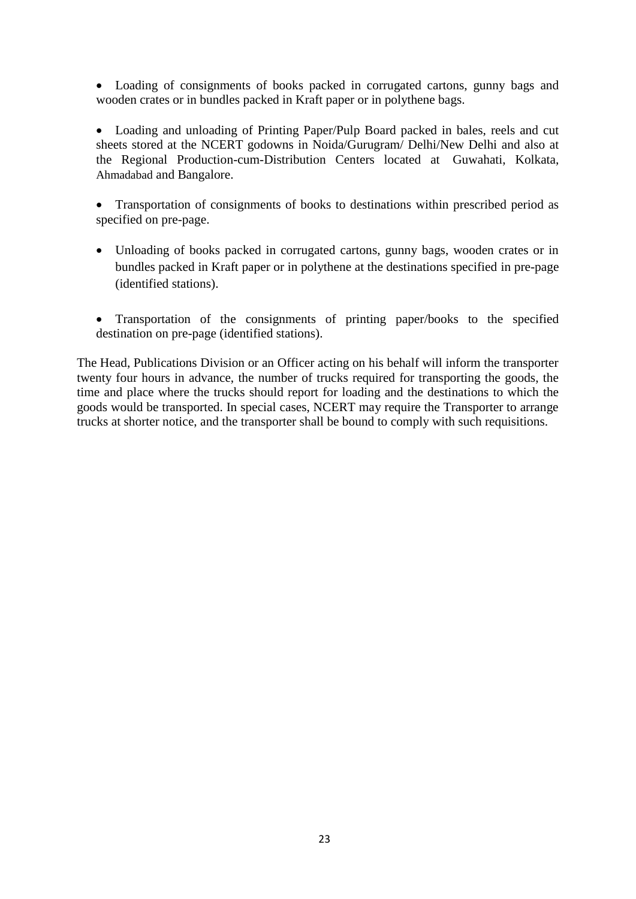Loading of consignments of books packed in corrugated cartons, gunny bags and wooden crates or in bundles packed in Kraft paper or in polythene bags.

 Loading and unloading of Printing Paper/Pulp Board packed in bales, reels and cut sheets stored at the NCERT godowns in Noida/Gurugram/ Delhi/New Delhi and also at the Regional Production-cum-Distribution Centers located at Guwahati, Kolkata, Ahmadabad and Bangalore.

- Transportation of consignments of books to destinations within prescribed period as specified on pre-page.
- Unloading of books packed in corrugated cartons, gunny bags, wooden crates or in bundles packed in Kraft paper or in polythene at the destinations specified in pre-page (identified stations).
- Transportation of the consignments of printing paper/books to the specified destination on pre-page (identified stations).

The Head, Publications Division or an Officer acting on his behalf will inform the transporter twenty four hours in advance, the number of trucks required for transporting the goods, the time and place where the trucks should report for loading and the destinations to which the goods would be transported. In special cases, NCERT may require the Transporter to arrange trucks at shorter notice, and the transporter shall be bound to comply with such requisitions.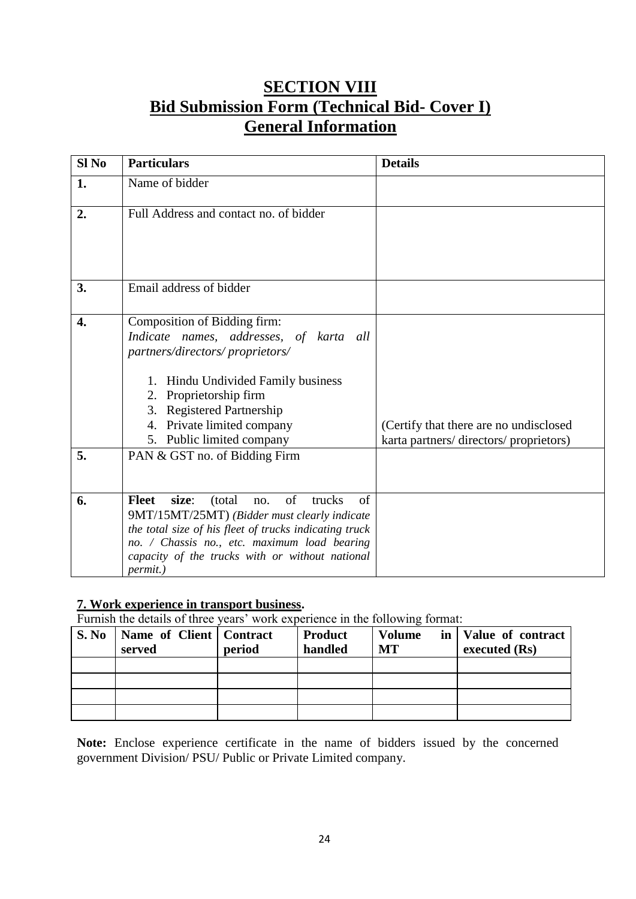## **SECTION VIII Bid Submission Form (Technical Bid- Cover I) General Information**

| $SI$ No                | <b>Particulars</b>                                                                                                                                                                                                                                                                                  | <b>Details</b>                                                                  |
|------------------------|-----------------------------------------------------------------------------------------------------------------------------------------------------------------------------------------------------------------------------------------------------------------------------------------------------|---------------------------------------------------------------------------------|
| 1.                     | Name of bidder                                                                                                                                                                                                                                                                                      |                                                                                 |
| 2.                     | Full Address and contact no. of bidder                                                                                                                                                                                                                                                              |                                                                                 |
| 3.                     | Email address of bidder                                                                                                                                                                                                                                                                             |                                                                                 |
| $\overline{4}$ .<br>5. | Composition of Bidding firm:<br>Indicate names, addresses, of karta all<br>partners/directors/proprietors/<br>1. Hindu Undivided Family business<br>2. Proprietorship firm<br>3. Registered Partnership<br>4. Private limited company<br>5. Public limited company<br>PAN & GST no. of Bidding Firm | (Certify that there are no undisclosed<br>karta partners/directors/proprietors) |
|                        |                                                                                                                                                                                                                                                                                                     |                                                                                 |
| 6.                     | of<br>size:<br>trucks<br>of<br><b>Fleet</b><br>(total)<br>no.<br>9MT/15MT/25MT) (Bidder must clearly indicate<br>the total size of his fleet of trucks indicating truck<br>no. / Chassis no., etc. maximum load bearing<br>capacity of the trucks with or without national<br>permit.)              |                                                                                 |

## **7. Work experience in transport business.**

Furnish the details of three years' work experience in the following format:

| S. No | Name of Client   Contract<br>served | period | <b>Product</b><br>handled | <b>Volume</b><br>MT | in   Value of contract<br>executed (Rs) |
|-------|-------------------------------------|--------|---------------------------|---------------------|-----------------------------------------|
|       |                                     |        |                           |                     |                                         |
|       |                                     |        |                           |                     |                                         |
|       |                                     |        |                           |                     |                                         |
|       |                                     |        |                           |                     |                                         |

**Note:** Enclose experience certificate in the name of bidders issued by the concerned government Division/ PSU/ Public or Private Limited company.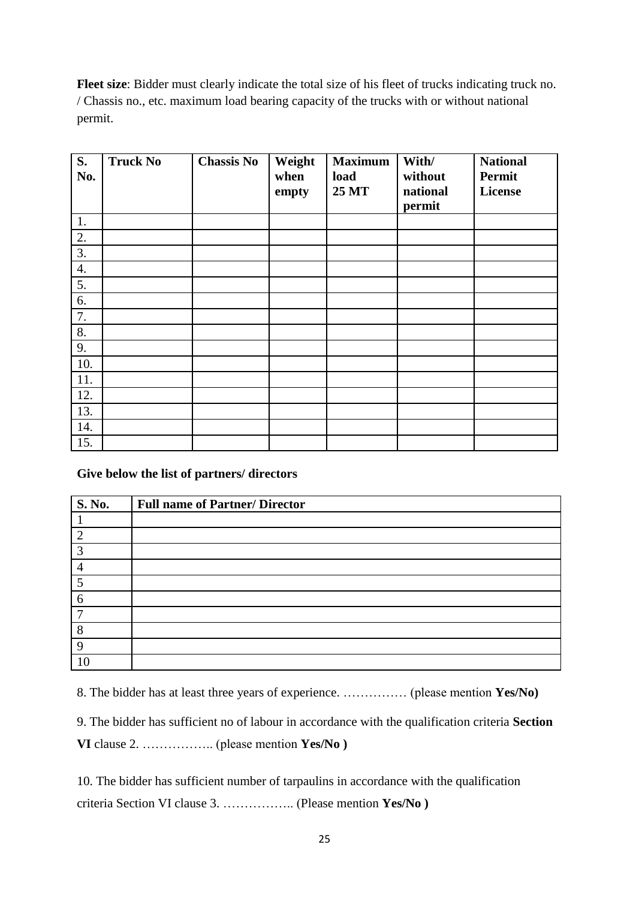**Fleet size**: Bidder must clearly indicate the total size of his fleet of trucks indicating truck no. / Chassis no., etc. maximum load bearing capacity of the trucks with or without national permit.

| S.<br>No.          | <b>Truck No</b> | <b>Chassis No</b> | Weight<br>when<br>empty | <b>Maximum</b><br>load<br><b>25 MT</b> | With/<br>without<br>national<br>permit | <b>National</b><br>Permit<br>License |
|--------------------|-----------------|-------------------|-------------------------|----------------------------------------|----------------------------------------|--------------------------------------|
| 1.                 |                 |                   |                         |                                        |                                        |                                      |
| 2.                 |                 |                   |                         |                                        |                                        |                                      |
| 3.                 |                 |                   |                         |                                        |                                        |                                      |
| $\boldsymbol{4}$ . |                 |                   |                         |                                        |                                        |                                      |
| 5.                 |                 |                   |                         |                                        |                                        |                                      |
| 6.                 |                 |                   |                         |                                        |                                        |                                      |
| 7.                 |                 |                   |                         |                                        |                                        |                                      |
| 8.                 |                 |                   |                         |                                        |                                        |                                      |
| 9.                 |                 |                   |                         |                                        |                                        |                                      |
| 10.                |                 |                   |                         |                                        |                                        |                                      |
| 11.                |                 |                   |                         |                                        |                                        |                                      |
| 12.                |                 |                   |                         |                                        |                                        |                                      |
| 13.                |                 |                   |                         |                                        |                                        |                                      |
| 14.                |                 |                   |                         |                                        |                                        |                                      |
| 15.                |                 |                   |                         |                                        |                                        |                                      |

**Give below the list of partners/ directors** 

| <b>S. No.</b>  | <b>Full name of Partner/ Director</b> |
|----------------|---------------------------------------|
|                |                                       |
| $\overline{2}$ |                                       |
| 3              |                                       |
|                |                                       |
| 5              |                                       |
| 6              |                                       |
| $\mathcal{L}$  |                                       |
| 8              |                                       |
| 9              |                                       |
| 10             |                                       |

8. The bidder has at least three years of experience. …………… (please mention **Yes/No)**

9. The bidder has sufficient no of labour in accordance with the qualification criteria **Section VI** clause 2. …………….. (please mention **Yes/No )** 

10. The bidder has sufficient number of tarpaulins in accordance with the qualification criteria Section VI clause 3. …………….. (Please mention **Yes/No )**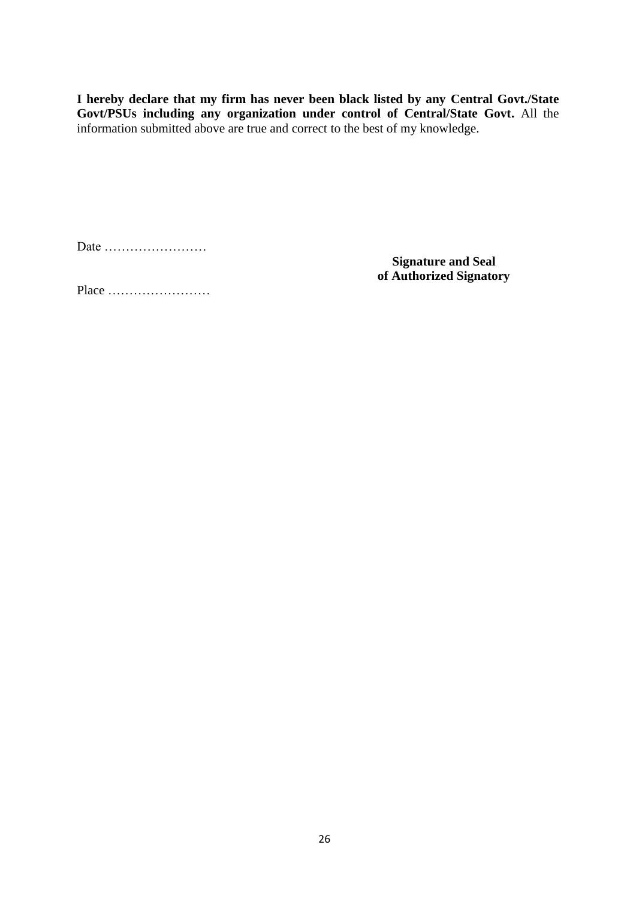**I hereby declare that my firm has never been black listed by any Central Govt./State Govt/PSUs including any organization under control of Central/State Govt.** All the information submitted above are true and correct to the best of my knowledge.

Date ……………………

**Signature and Seal of Authorized Signatory**

Place ……………………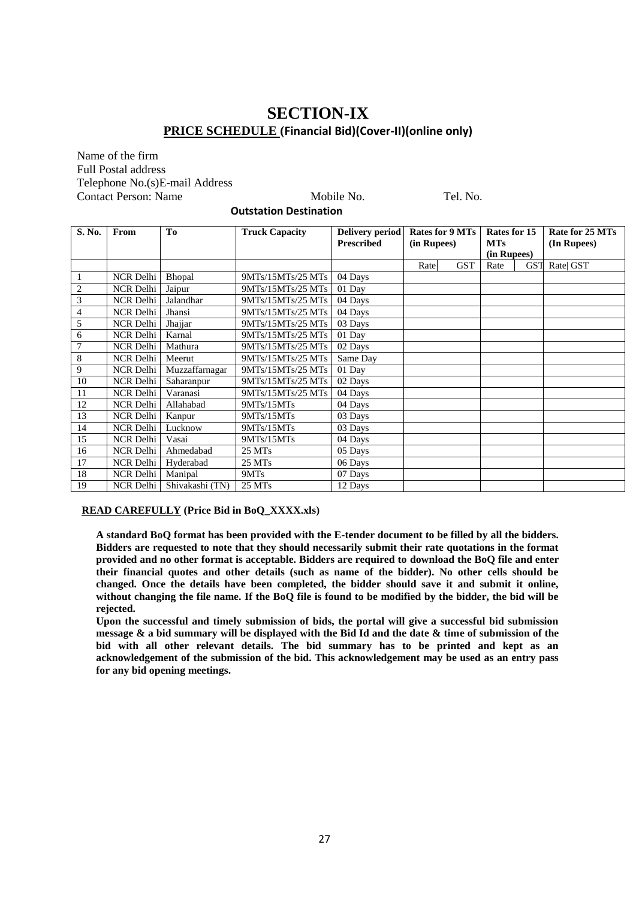## **SECTION-IX PRICE SCHEDULE (Financial Bid)(Cover-II)(online only)**

#### Name of the firm Full Postal address Telephone No.(s)E-mail Address Contact Person: Name Mobile No. Tel. No.

**Outstation Destination**

| S. No.         | From             | To              | <b>Truck Capacity</b> | Delivery period<br><b>Prescribed</b> | <b>Rates for 9 MTs</b><br>(in Rupees) |            | Rates for 15<br><b>MTs</b> |            | Rate for 25 MTs<br>(In Rupees) |
|----------------|------------------|-----------------|-----------------------|--------------------------------------|---------------------------------------|------------|----------------------------|------------|--------------------------------|
|                |                  |                 |                       |                                      |                                       |            | (in Rupees)                |            |                                |
|                |                  |                 |                       |                                      | Rate                                  | <b>GST</b> | Rate                       | <b>GST</b> | Rate  GST                      |
|                | NCR Delhi        | <b>Bhopal</b>   | 9MTs/15MTs/25 MTs     | 04 Days                              |                                       |            |                            |            |                                |
| $\overline{c}$ | NCR Delhi        | Jaipur          | 9MTs/15MTs/25 MTs     | 01 Day                               |                                       |            |                            |            |                                |
| 3              | NCR Delhi        | Jalandhar       | 9MTs/15MTs/25 MTs     | 04 Days                              |                                       |            |                            |            |                                |
| 4              | NCR Delhi        | Jhansi          | 9MTs/15MTs/25 MTs     | 04 Days                              |                                       |            |                            |            |                                |
| 5              | NCR Delhi        | Jhajjar         | 9MTs/15MTs/25 MTs     | 03 Days                              |                                       |            |                            |            |                                |
| 6              | NCR Delhi        | Karnal          | 9MTs/15MTs/25 MTs     | 01 Day                               |                                       |            |                            |            |                                |
| $\overline{7}$ | NCR Delhi        | Mathura         | 9MTs/15MTs/25 MTs     | 02 Days                              |                                       |            |                            |            |                                |
| 8              | NCR Delhi        | Meerut          | 9MTs/15MTs/25 MTs     | Same Day                             |                                       |            |                            |            |                                |
| 9              | NCR Delhi        | Muzzaffarnagar  | 9MTs/15MTs/25 MTs     | 01 Day                               |                                       |            |                            |            |                                |
| 10             | NCR Delhi        | Saharanpur      | 9MTs/15MTs/25 MTs     | 02 Days                              |                                       |            |                            |            |                                |
| 11             | <b>NCR</b> Delhi | Varanasi        | 9MTs/15MTs/25 MTs     | 04 Days                              |                                       |            |                            |            |                                |
| 12             | NCR Delhi        | Allahabad       | 9MTs/15MTs            | 04 Days                              |                                       |            |                            |            |                                |
| 13             | NCR Delhi        | Kanpur          | 9MTs/15MTs            | 03 Days                              |                                       |            |                            |            |                                |
| 14             | NCR Delhi        | Lucknow         | 9MTs/15MTs            | 03 Days                              |                                       |            |                            |            |                                |
| 15             | NCR Delhi        | Vasai           | 9MTs/15MTs            | 04 Days                              |                                       |            |                            |            |                                |
| 16             | NCR Delhi        | Ahmedabad       | 25 MTs                | 05 Days                              |                                       |            |                            |            |                                |
| 17             | NCR Delhi        | Hyderabad       | 25 MTs                | 06 Days                              |                                       |            |                            |            |                                |
| 18             | NCR Delhi        | Manipal         | 9MT <sub>s</sub>      | 07 Days                              |                                       |            |                            |            |                                |
| 19             | NCR Delhi        | Shivakashi (TN) | 25 MTs                | 12 Days                              |                                       |            |                            |            |                                |

#### **READ CAREFULLY (Price Bid in BoQ\_XXXX.xls)**

**A standard BoQ format has been provided with the E-tender document to be filled by all the bidders. Bidders are requested to note that they should necessarily submit their rate quotations in the format provided and no other format is acceptable. Bidders are required to download the BoQ file and enter their financial quotes and other details (such as name of the bidder). No other cells should be changed. Once the details have been completed, the bidder should save it and submit it online, without changing the file name. If the BoQ file is found to be modified by the bidder, the bid will be rejected.**

**Upon the successful and timely submission of bids, the portal will give a successful bid submission message & a bid summary will be displayed with the Bid Id and the date & time of submission of the bid with all other relevant details. The bid summary has to be printed and kept as an acknowledgement of the submission of the bid. This acknowledgement may be used as an entry pass for any bid opening meetings.**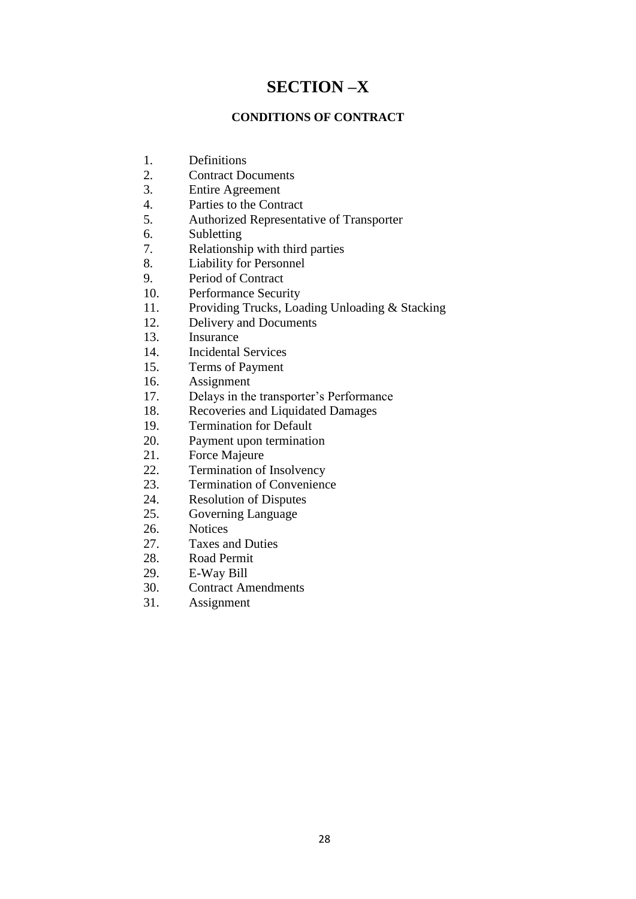## **SECTION –X**

## **CONDITIONS OF CONTRACT**

- 1. Definitions
- 2. Contract Documents
- 3. Entire Agreement
- 4. Parties to the Contract
- 5. Authorized Representative of Transporter
- 6. Subletting
- 7. Relationship with third parties
- 8. Liability for Personnel
- 9. Period of Contract
- 10. Performance Security
- 11. Providing Trucks, Loading Unloading & Stacking
- 12. Delivery and Documents
- 13. Insurance
- 14. Incidental Services
- 15. Terms of Payment
- 16. Assignment
- 17. Delays in the transporter"s Performance
- 18. Recoveries and Liquidated Damages
- 19. Termination for Default
- 20. Payment upon termination<br>21. Force Majeure
- Force Majeure
- 22. Termination of Insolvency
- 23. Termination of Convenience
- 24. Resolution of Disputes
- 25. Governing Language
- 26. Notices
- 27. Taxes and Duties
- 28. Road Permit
- 29. E-Way Bill
- 30. Contract Amendments
- 31. Assignment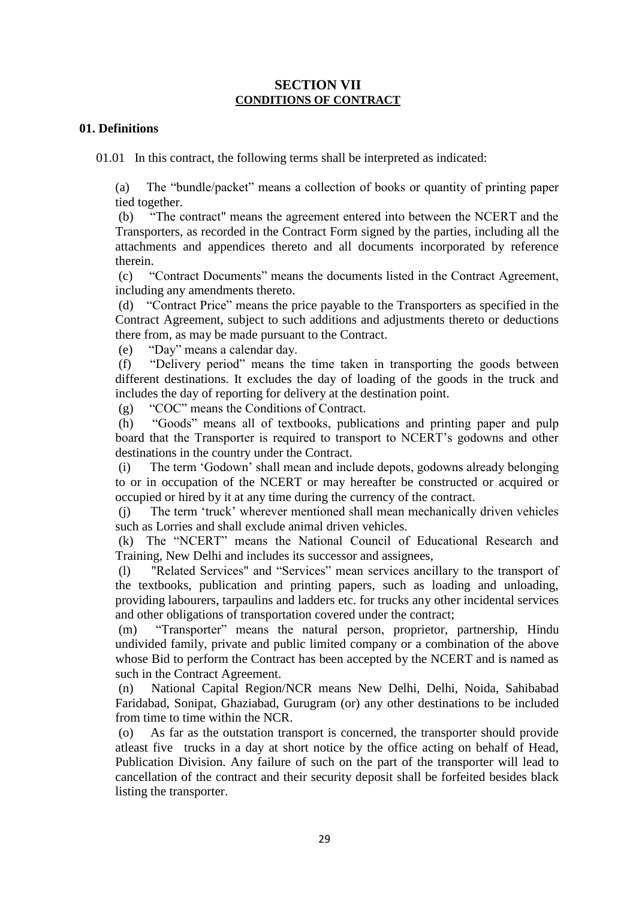## **SECTION VII CONDITIONS OF CONTRACT**

## **01. Definitions**

01.01 In this contract, the following terms shall be interpreted as indicated:

(a) The "bundle/packet" means a collection of books or quantity of printing paper tied together.

(b) "The contract" means the agreement entered into between the NCERT and the Transporters, as recorded in the Contract Form signed by the parties, including all the attachments and appendices thereto and all documents incorporated by reference therein.

(c) "Contract Documents" means the documents listed in the Contract Agreement, including any amendments thereto.

(d) "Contract Price" means the price payable to the Transporters as specified in the Contract Agreement, subject to such additions and adjustments thereto or deductions there from, as may be made pursuant to the Contract.

(e) "Day" means a calendar day.

(f) "Delivery period" means the time taken in transporting the goods between different destinations. It excludes the day of loading of the goods in the truck and includes the day of reporting for delivery at the destination point.

(g) "COC" means the Conditions of Contract.

(h) "Goods" means all of textbooks, publications and printing paper and pulp board that the Transporter is required to transport to NCERT"s godowns and other destinations in the country under the Contract.

(i) The term "Godown" shall mean and include depots, godowns already belonging to or in occupation of the NCERT or may hereafter be constructed or acquired or occupied or hired by it at any time during the currency of the contract.

(j) The term "truck" wherever mentioned shall mean mechanically driven vehicles such as Lorries and shall exclude animal driven vehicles.

(k) The "NCERT" means the National Council of Educational Research and Training, New Delhi and includes its successor and assignees,

(l) "Related Services" and "Services" mean services ancillary to the transport of the textbooks, publication and printing papers, such as loading and unloading, providing labourers, tarpaulins and ladders etc. for trucks any other incidental services and other obligations of transportation covered under the contract;

(m) "Transporter" means the natural person, proprietor, partnership, Hindu undivided family, private and public limited company or a combination of the above whose Bid to perform the Contract has been accepted by the NCERT and is named as such in the Contract Agreement.

(n) National Capital Region/NCR means New Delhi, Delhi, Noida, Sahibabad Faridabad, Sonipat, Ghaziabad, Gurugram (or) any other destinations to be included from time to time within the NCR.

(o) As far as the outstation transport is concerned, the transporter should provide atleast five trucks in a day at short notice by the office acting on behalf of Head, Publication Division. Any failure of such on the part of the transporter will lead to cancellation of the contract and their security deposit shall be forfeited besides black listing the transporter.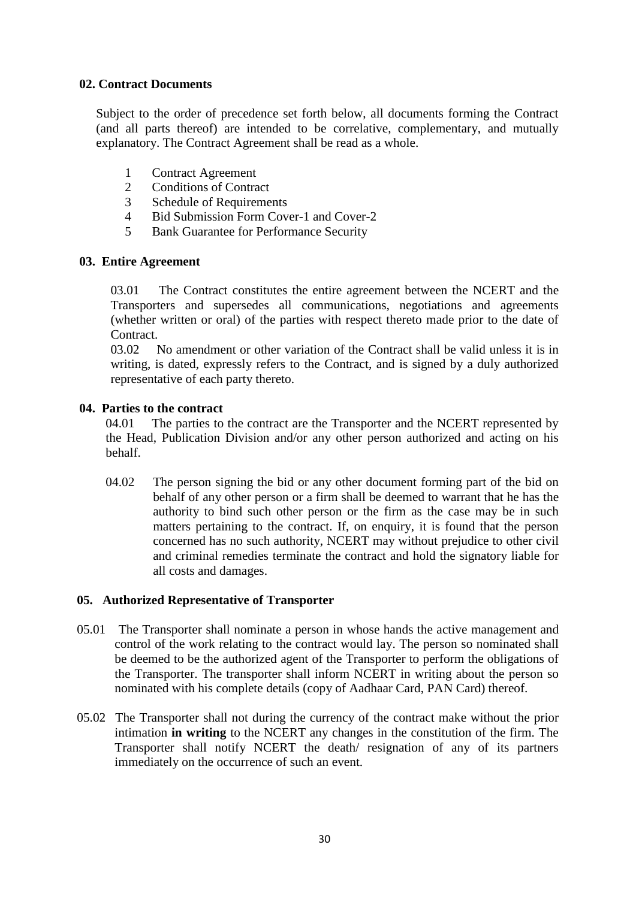## **02. Contract Documents**

Subject to the order of precedence set forth below, all documents forming the Contract (and all parts thereof) are intended to be correlative, complementary, and mutually explanatory. The Contract Agreement shall be read as a whole.

- 1 Contract Agreement
- 2 Conditions of Contract
- 3 Schedule of Requirements
- 4 Bid Submission Form Cover-1 and Cover-2
- 5 Bank Guarantee for Performance Security

## **03. Entire Agreement**

03.01 The Contract constitutes the entire agreement between the NCERT and the Transporters and supersedes all communications, negotiations and agreements (whether written or oral) of the parties with respect thereto made prior to the date of **Contract** 

03.02 No amendment or other variation of the Contract shall be valid unless it is in writing, is dated, expressly refers to the Contract, and is signed by a duly authorized representative of each party thereto.

## **04. Parties to the contract**

04.01 The parties to the contract are the Transporter and the NCERT represented by the Head, Publication Division and/or any other person authorized and acting on his behalf.

04.02 The person signing the bid or any other document forming part of the bid on behalf of any other person or a firm shall be deemed to warrant that he has the authority to bind such other person or the firm as the case may be in such matters pertaining to the contract. If, on enquiry, it is found that the person concerned has no such authority, NCERT may without prejudice to other civil and criminal remedies terminate the contract and hold the signatory liable for all costs and damages.

## **05. Authorized Representative of Transporter**

- 05.01 The Transporter shall nominate a person in whose hands the active management and control of the work relating to the contract would lay. The person so nominated shall be deemed to be the authorized agent of the Transporter to perform the obligations of the Transporter. The transporter shall inform NCERT in writing about the person so nominated with his complete details (copy of Aadhaar Card, PAN Card) thereof.
- 05.02 The Transporter shall not during the currency of the contract make without the prior intimation **in writing** to the NCERT any changes in the constitution of the firm. The Transporter shall notify NCERT the death/ resignation of any of its partners immediately on the occurrence of such an event.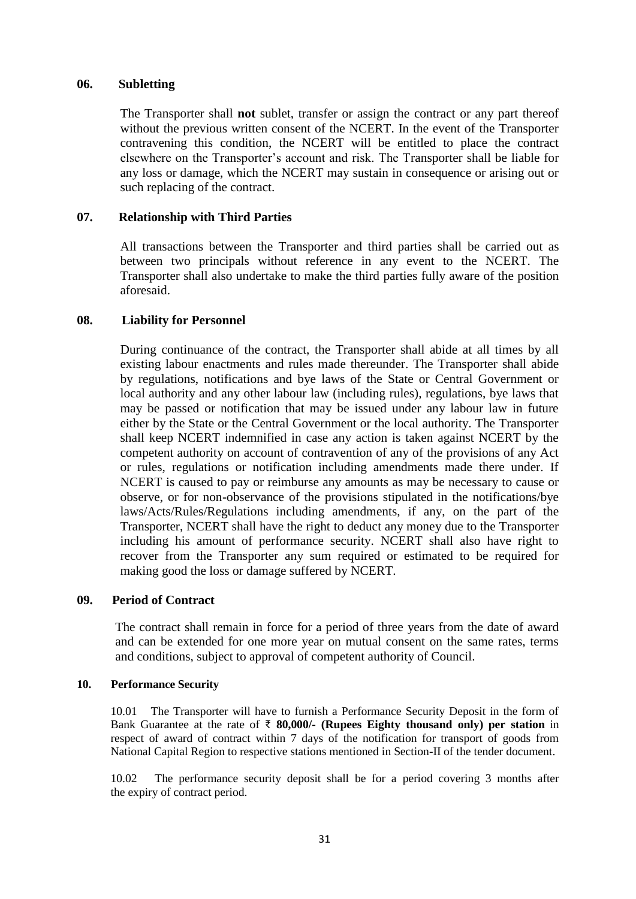#### **06. Subletting**

The Transporter shall **not** sublet, transfer or assign the contract or any part thereof without the previous written consent of the NCERT. In the event of the Transporter contravening this condition, the NCERT will be entitled to place the contract elsewhere on the Transporter"s account and risk. The Transporter shall be liable for any loss or damage, which the NCERT may sustain in consequence or arising out or such replacing of the contract.

## **07. Relationship with Third Parties**

All transactions between the Transporter and third parties shall be carried out as between two principals without reference in any event to the NCERT. The Transporter shall also undertake to make the third parties fully aware of the position aforesaid.

## **08. Liability for Personnel**

During continuance of the contract, the Transporter shall abide at all times by all existing labour enactments and rules made thereunder. The Transporter shall abide by regulations, notifications and bye laws of the State or Central Government or local authority and any other labour law (including rules), regulations, bye laws that may be passed or notification that may be issued under any labour law in future either by the State or the Central Government or the local authority. The Transporter shall keep NCERT indemnified in case any action is taken against NCERT by the competent authority on account of contravention of any of the provisions of any Act or rules, regulations or notification including amendments made there under. If NCERT is caused to pay or reimburse any amounts as may be necessary to cause or observe, or for non-observance of the provisions stipulated in the notifications/bye laws/Acts/Rules/Regulations including amendments, if any, on the part of the Transporter, NCERT shall have the right to deduct any money due to the Transporter including his amount of performance security. NCERT shall also have right to recover from the Transporter any sum required or estimated to be required for making good the loss or damage suffered by NCERT.

#### **09. Period of Contract**

The contract shall remain in force for a period of three years from the date of award and can be extended for one more year on mutual consent on the same rates, terms and conditions, subject to approval of competent authority of Council.

#### **10. Performance Security**

10.01 The Transporter will have to furnish a Performance Security Deposit in the form of Bank Guarantee at the rate of ₹ **80,000/- (Rupees Eighty thousand only) per station** in respect of award of contract within 7 days of the notification for transport of goods from National Capital Region to respective stations mentioned in Section-II of the tender document.

10.02 The performance security deposit shall be for a period covering 3 months after the expiry of contract period.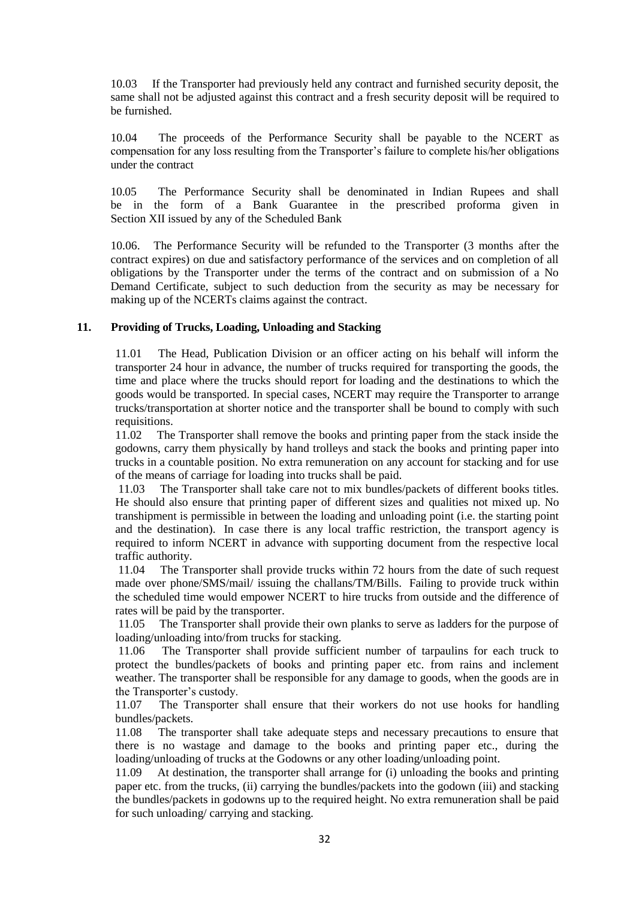10.03 If the Transporter had previously held any contract and furnished security deposit, the same shall not be adjusted against this contract and a fresh security deposit will be required to be furnished.

10.04 The proceeds of the Performance Security shall be payable to the NCERT as compensation for any loss resulting from the Transporter"s failure to complete his/her obligations under the contract

10.05 The Performance Security shall be denominated in Indian Rupees and shall be in the form of a Bank Guarantee in the prescribed proforma given in Section XII issued by any of the Scheduled Bank

10.06. The Performance Security will be refunded to the Transporter (3 months after the contract expires) on due and satisfactory performance of the services and on completion of all obligations by the Transporter under the terms of the contract and on submission of a No Demand Certificate, subject to such deduction from the security as may be necessary for making up of the NCERTs claims against the contract.

#### **11. Providing of Trucks, Loading, Unloading and Stacking**

11.01 The Head, Publication Division or an officer acting on his behalf will inform the transporter 24 hour in advance, the number of trucks required for transporting the goods, the time and place where the trucks should report for loading and the destinations to which the goods would be transported. In special cases, NCERT may require the Transporter to arrange trucks/transportation at shorter notice and the transporter shall be bound to comply with such requisitions.

11.02 The Transporter shall remove the books and printing paper from the stack inside the godowns, carry them physically by hand trolleys and stack the books and printing paper into trucks in a countable position. No extra remuneration on any account for stacking and for use of the means of carriage for loading into trucks shall be paid.

11.03 The Transporter shall take care not to mix bundles/packets of different books titles. He should also ensure that printing paper of different sizes and qualities not mixed up. No transhipment is permissible in between the loading and unloading point (i.e. the starting point and the destination). In case there is any local traffic restriction, the transport agency is required to inform NCERT in advance with supporting document from the respective local traffic authority.

11.04 The Transporter shall provide trucks within 72 hours from the date of such request made over phone/SMS/mail/ issuing the challans/TM/Bills. Failing to provide truck within the scheduled time would empower NCERT to hire trucks from outside and the difference of rates will be paid by the transporter.

11.05 The Transporter shall provide their own planks to serve as ladders for the purpose of loading/unloading into/from trucks for stacking.

11.06 The Transporter shall provide sufficient number of tarpaulins for each truck to protect the bundles/packets of books and printing paper etc. from rains and inclement weather. The transporter shall be responsible for any damage to goods, when the goods are in the Transporter's custody.

11.07 The Transporter shall ensure that their workers do not use hooks for handling bundles/packets.

11.08 The transporter shall take adequate steps and necessary precautions to ensure that there is no wastage and damage to the books and printing paper etc., during the loading/unloading of trucks at the Godowns or any other loading/unloading point.

11.09 At destination, the transporter shall arrange for (i) unloading the books and printing paper etc. from the trucks, (ii) carrying the bundles/packets into the godown (iii) and stacking the bundles/packets in godowns up to the required height. No extra remuneration shall be paid for such unloading/ carrying and stacking.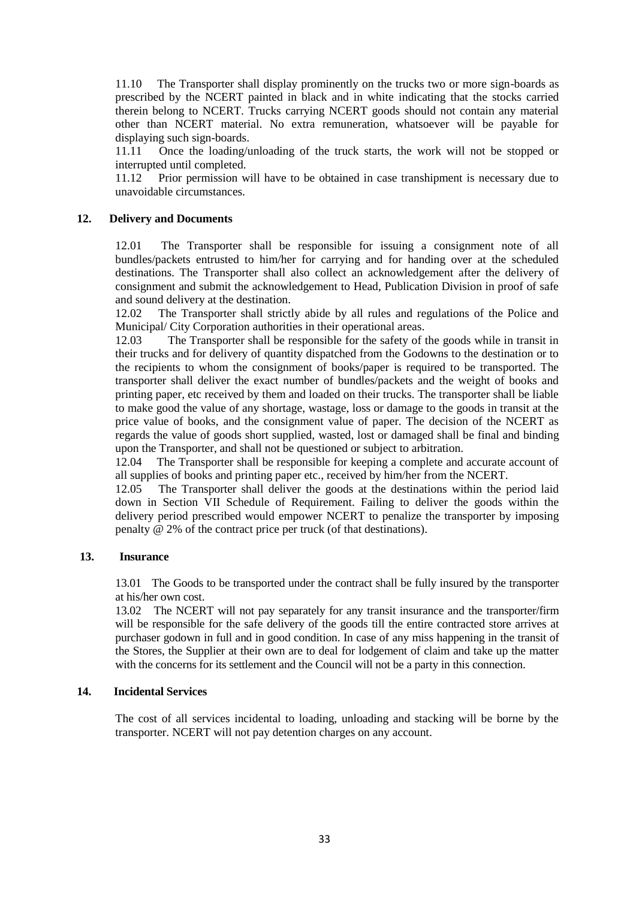11.10 The Transporter shall display prominently on the trucks two or more sign-boards as prescribed by the NCERT painted in black and in white indicating that the stocks carried therein belong to NCERT. Trucks carrying NCERT goods should not contain any material other than NCERT material. No extra remuneration, whatsoever will be payable for displaying such sign-boards.

11.11 Once the loading/unloading of the truck starts, the work will not be stopped or interrupted until completed.

11.12 Prior permission will have to be obtained in case transhipment is necessary due to unavoidable circumstances.

#### **12. Delivery and Documents**

12.01 The Transporter shall be responsible for issuing a consignment note of all bundles/packets entrusted to him/her for carrying and for handing over at the scheduled destinations. The Transporter shall also collect an acknowledgement after the delivery of consignment and submit the acknowledgement to Head, Publication Division in proof of safe and sound delivery at the destination.

12.02 The Transporter shall strictly abide by all rules and regulations of the Police and Municipal/ City Corporation authorities in their operational areas.

12.03 The Transporter shall be responsible for the safety of the goods while in transit in their trucks and for delivery of quantity dispatched from the Godowns to the destination or to the recipients to whom the consignment of books/paper is required to be transported. The transporter shall deliver the exact number of bundles/packets and the weight of books and printing paper, etc received by them and loaded on their trucks. The transporter shall be liable to make good the value of any shortage, wastage, loss or damage to the goods in transit at the price value of books, and the consignment value of paper. The decision of the NCERT as regards the value of goods short supplied, wasted, lost or damaged shall be final and binding upon the Transporter, and shall not be questioned or subject to arbitration.

12.04 The Transporter shall be responsible for keeping a complete and accurate account of all supplies of books and printing paper etc., received by him/her from the NCERT.

12.05 The Transporter shall deliver the goods at the destinations within the period laid down in Section VII Schedule of Requirement. Failing to deliver the goods within the delivery period prescribed would empower NCERT to penalize the transporter by imposing penalty @ 2% of the contract price per truck (of that destinations).

#### **13. Insurance**

13.01 The Goods to be transported under the contract shall be fully insured by the transporter at his/her own cost.

13.02 The NCERT will not pay separately for any transit insurance and the transporter/firm will be responsible for the safe delivery of the goods till the entire contracted store arrives at purchaser godown in full and in good condition. In case of any miss happening in the transit of the Stores, the Supplier at their own are to deal for lodgement of claim and take up the matter with the concerns for its settlement and the Council will not be a party in this connection.

#### **14. Incidental Services**

The cost of all services incidental to loading, unloading and stacking will be borne by the transporter. NCERT will not pay detention charges on any account.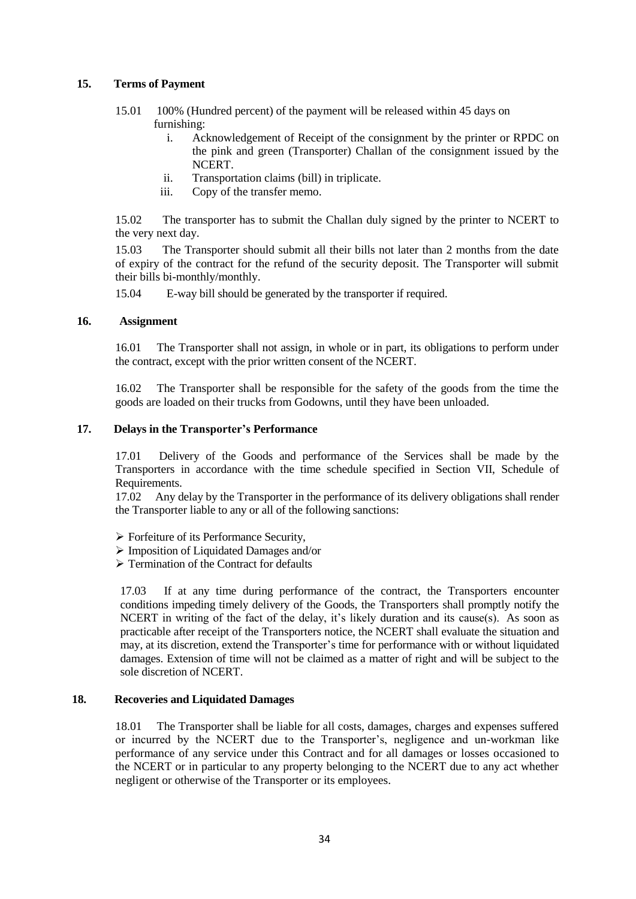#### **15. Terms of Payment**

- 15.01 100% (Hundred percent) of the payment will be released within 45 days on furnishing:
	- i. Acknowledgement of Receipt of the consignment by the printer or RPDC on the pink and green (Transporter) Challan of the consignment issued by the NCERT.
	- ii. Transportation claims (bill) in triplicate.
	- iii. Copy of the transfer memo.

15.02 The transporter has to submit the Challan duly signed by the printer to NCERT to the very next day.

15.03 The Transporter should submit all their bills not later than 2 months from the date of expiry of the contract for the refund of the security deposit. The Transporter will submit their bills bi-monthly/monthly.

15.04 E-way bill should be generated by the transporter if required.

#### **16. Assignment**

16.01 The Transporter shall not assign, in whole or in part, its obligations to perform under the contract, except with the prior written consent of the NCERT.

16.02 The Transporter shall be responsible for the safety of the goods from the time the goods are loaded on their trucks from Godowns, until they have been unloaded.

#### **17. Delays in the Transporter's Performance**

17.01 Delivery of the Goods and performance of the Services shall be made by the Transporters in accordance with the time schedule specified in Section VII, Schedule of Requirements.

17.02 Any delay by the Transporter in the performance of its delivery obligations shall render the Transporter liable to any or all of the following sanctions:

- Forfeiture of its Performance Security,
- Imposition of Liquidated Damages and/or
- $\triangleright$  Termination of the Contract for defaults

17.03 If at any time during performance of the contract, the Transporters encounter conditions impeding timely delivery of the Goods, the Transporters shall promptly notify the NCERT in writing of the fact of the delay, it's likely duration and its cause(s). As soon as practicable after receipt of the Transporters notice, the NCERT shall evaluate the situation and may, at its discretion, extend the Transporter's time for performance with or without liquidated damages. Extension of time will not be claimed as a matter of right and will be subject to the sole discretion of NCERT.

#### **18. Recoveries and Liquidated Damages**

18.01 The Transporter shall be liable for all costs, damages, charges and expenses suffered or incurred by the NCERT due to the Transporter"s, negligence and un-workman like performance of any service under this Contract and for all damages or losses occasioned to the NCERT or in particular to any property belonging to the NCERT due to any act whether negligent or otherwise of the Transporter or its employees.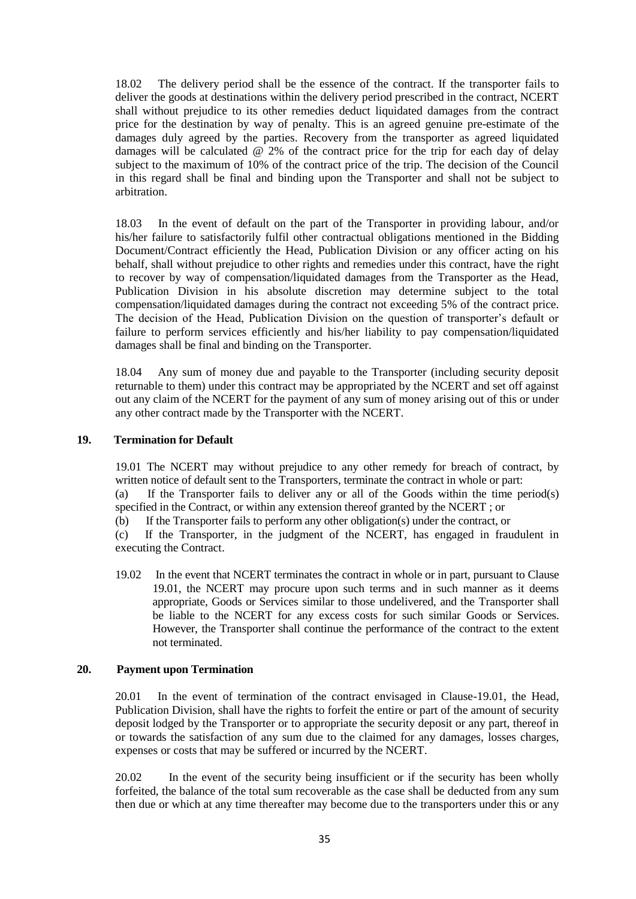18.02 The delivery period shall be the essence of the contract. If the transporter fails to deliver the goods at destinations within the delivery period prescribed in the contract, NCERT shall without prejudice to its other remedies deduct liquidated damages from the contract price for the destination by way of penalty. This is an agreed genuine pre-estimate of the damages duly agreed by the parties. Recovery from the transporter as agreed liquidated damages will be calculated  $\overline{\omega}$  2% of the contract price for the trip for each day of delay subject to the maximum of 10% of the contract price of the trip. The decision of the Council in this regard shall be final and binding upon the Transporter and shall not be subject to arbitration.

18.03 In the event of default on the part of the Transporter in providing labour, and/or his/her failure to satisfactorily fulfil other contractual obligations mentioned in the Bidding Document/Contract efficiently the Head, Publication Division or any officer acting on his behalf, shall without prejudice to other rights and remedies under this contract, have the right to recover by way of compensation/liquidated damages from the Transporter as the Head, Publication Division in his absolute discretion may determine subject to the total compensation/liquidated damages during the contract not exceeding 5% of the contract price. The decision of the Head, Publication Division on the question of transporter"s default or failure to perform services efficiently and his/her liability to pay compensation/liquidated damages shall be final and binding on the Transporter.

18.04 Any sum of money due and payable to the Transporter (including security deposit returnable to them) under this contract may be appropriated by the NCERT and set off against out any claim of the NCERT for the payment of any sum of money arising out of this or under any other contract made by the Transporter with the NCERT.

#### **19. Termination for Default**

19.01 The NCERT may without prejudice to any other remedy for breach of contract, by written notice of default sent to the Transporters, terminate the contract in whole or part:

(a) If the Transporter fails to deliver any or all of the Goods within the time period(s) specified in the Contract, or within any extension thereof granted by the NCERT ; or

(b) If the Transporter fails to perform any other obligation(s) under the contract, or

(c) If the Transporter, in the judgment of the NCERT, has engaged in fraudulent in executing the Contract.

19.02 In the event that NCERT terminates the contract in whole or in part, pursuant to Clause 19.01, the NCERT may procure upon such terms and in such manner as it deems appropriate, Goods or Services similar to those undelivered, and the Transporter shall be liable to the NCERT for any excess costs for such similar Goods or Services. However, the Transporter shall continue the performance of the contract to the extent not terminated.

#### **20. Payment upon Termination**

20.01 In the event of termination of the contract envisaged in Clause-19.01, the Head, Publication Division, shall have the rights to forfeit the entire or part of the amount of security deposit lodged by the Transporter or to appropriate the security deposit or any part, thereof in or towards the satisfaction of any sum due to the claimed for any damages, losses charges, expenses or costs that may be suffered or incurred by the NCERT.

20.02 In the event of the security being insufficient or if the security has been wholly forfeited, the balance of the total sum recoverable as the case shall be deducted from any sum then due or which at any time thereafter may become due to the transporters under this or any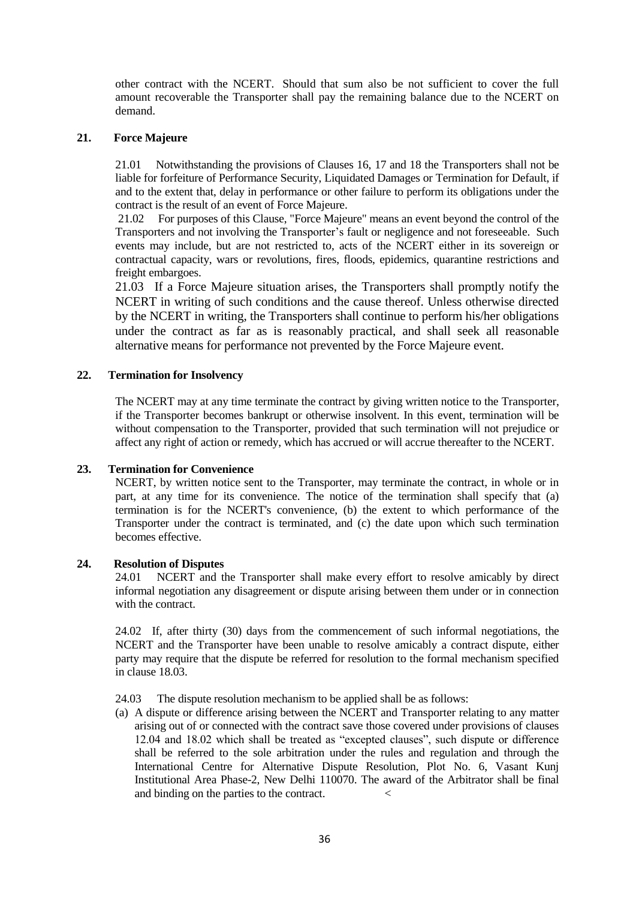other contract with the NCERT. Should that sum also be not sufficient to cover the full amount recoverable the Transporter shall pay the remaining balance due to the NCERT on demand.

#### **21. Force Majeure**

21.01 Notwithstanding the provisions of Clauses 16, 17 and 18 the Transporters shall not be liable for forfeiture of Performance Security, Liquidated Damages or Termination for Default, if and to the extent that, delay in performance or other failure to perform its obligations under the contract is the result of an event of Force Majeure.

21.02 For purposes of this Clause, "Force Majeure" means an event beyond the control of the Transporters and not involving the Transporter"s fault or negligence and not foreseeable. Such events may include, but are not restricted to, acts of the NCERT either in its sovereign or contractual capacity, wars or revolutions, fires, floods, epidemics, quarantine restrictions and freight embargoes.

21.03 If a Force Majeure situation arises, the Transporters shall promptly notify the NCERT in writing of such conditions and the cause thereof. Unless otherwise directed by the NCERT in writing, the Transporters shall continue to perform his/her obligations under the contract as far as is reasonably practical, and shall seek all reasonable alternative means for performance not prevented by the Force Majeure event.

#### **22. Termination for Insolvency**

The NCERT may at any time terminate the contract by giving written notice to the Transporter, if the Transporter becomes bankrupt or otherwise insolvent. In this event, termination will be without compensation to the Transporter, provided that such termination will not prejudice or affect any right of action or remedy, which has accrued or will accrue thereafter to the NCERT.

#### **23. Termination for Convenience**

NCERT, by written notice sent to the Transporter, may terminate the contract, in whole or in part, at any time for its convenience. The notice of the termination shall specify that (a) termination is for the NCERT's convenience, (b) the extent to which performance of the Transporter under the contract is terminated, and (c) the date upon which such termination becomes effective.

#### **24. Resolution of Disputes**

24.01 NCERT and the Transporter shall make every effort to resolve amicably by direct informal negotiation any disagreement or dispute arising between them under or in connection with the contract.

24.02 If, after thirty (30) days from the commencement of such informal negotiations, the NCERT and the Transporter have been unable to resolve amicably a contract dispute, either party may require that the dispute be referred for resolution to the formal mechanism specified in clause 18.03.

24.03 The dispute resolution mechanism to be applied shall be as follows:

(a) A dispute or difference arising between the NCERT and Transporter relating to any matter arising out of or connected with the contract save those covered under provisions of clauses 12.04 and 18.02 which shall be treated as "excepted clauses", such dispute or difference shall be referred to the sole arbitration under the rules and regulation and through the International Centre for Alternative Dispute Resolution, Plot No. 6, Vasant Kunj Institutional Area Phase-2, New Delhi 110070. The award of the Arbitrator shall be final and binding on the parties to the contract. <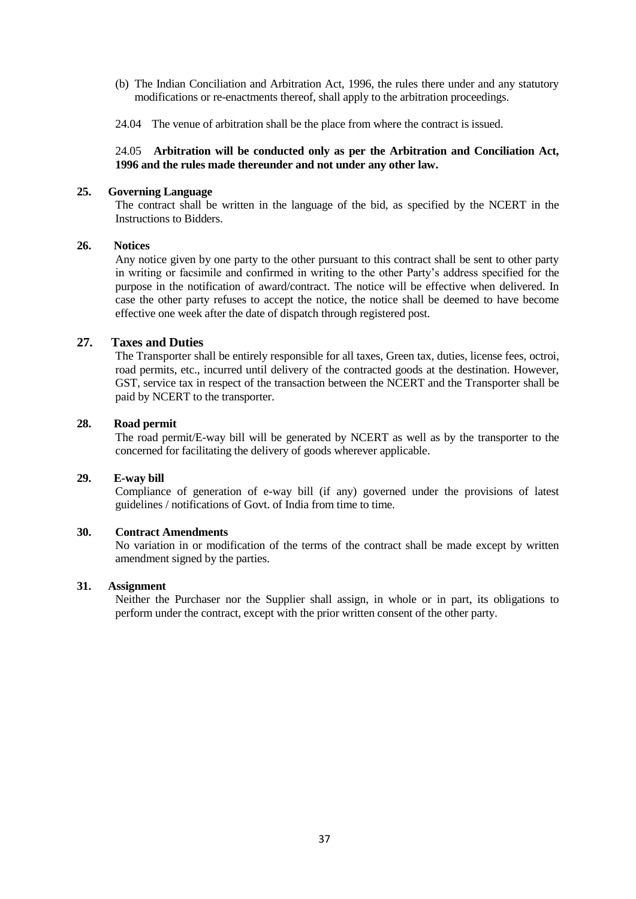- (b) The Indian Conciliation and Arbitration Act, 1996, the rules there under and any statutory modifications or re-enactments thereof, shall apply to the arbitration proceedings.
- 24.04 The venue of arbitration shall be the place from where the contract is issued.

#### 24.05 **Arbitration will be conducted only as per the Arbitration and Conciliation Act, 1996 and the rules made thereunder and not under any other law.**

#### **25. Governing Language**

The contract shall be written in the language of the bid, as specified by the NCERT in the Instructions to Bidders.

#### **26. Notices**

Any notice given by one party to the other pursuant to this contract shall be sent to other party in writing or facsimile and confirmed in writing to the other Party"s address specified for the purpose in the notification of award/contract. The notice will be effective when delivered. In case the other party refuses to accept the notice, the notice shall be deemed to have become effective one week after the date of dispatch through registered post.

#### **27. Taxes and Duties**

The Transporter shall be entirely responsible for all taxes, Green tax, duties, license fees, octroi, road permits, etc., incurred until delivery of the contracted goods at the destination. However, GST, service tax in respect of the transaction between the NCERT and the Transporter shall be paid by NCERT to the transporter.

#### **28. Road permit**

The road permit/E-way bill will be generated by NCERT as well as by the transporter to the concerned for facilitating the delivery of goods wherever applicable.

#### **29. E-way bill**

Compliance of generation of e-way bill (if any) governed under the provisions of latest guidelines / notifications of Govt. of India from time to time.

#### **30. Contract Amendments**

No variation in or modification of the terms of the contract shall be made except by written amendment signed by the parties.

#### **31. Assignment**

Neither the Purchaser nor the Supplier shall assign, in whole or in part, its obligations to perform under the contract, except with the prior written consent of the other party.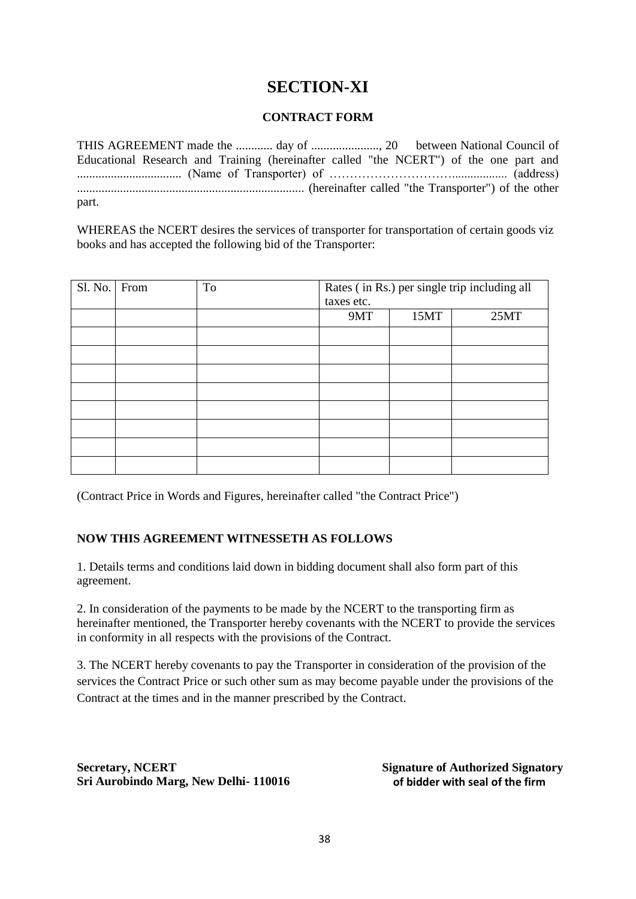## **SECTION-XI**

## **CONTRACT FORM**

THIS AGREEMENT made the ............ day of ......................, 20 between National Council of Educational Research and Training (hereinafter called "the NCERT") of the one part and .................................. (Name of Transporter) of ………………………….................. (address) .......................................................................... (hereinafter called "the Transporter") of the other part.

WHEREAS the NCERT desires the services of transporter for transportation of certain goods viz books and has accepted the following bid of the Transporter:

| Sl. No. | From | To | Rates (in Rs.) per single trip including all<br>taxes etc. |      |      |
|---------|------|----|------------------------------------------------------------|------|------|
|         |      |    | 9MT                                                        | 15MT | 25MT |
|         |      |    |                                                            |      |      |
|         |      |    |                                                            |      |      |
|         |      |    |                                                            |      |      |
|         |      |    |                                                            |      |      |
|         |      |    |                                                            |      |      |
|         |      |    |                                                            |      |      |
|         |      |    |                                                            |      |      |
|         |      |    |                                                            |      |      |

(Contract Price in Words and Figures, hereinafter called "the Contract Price")

## **NOW THIS AGREEMENT WITNESSETH AS FOLLOWS**

1. Details terms and conditions laid down in bidding document shall also form part of this agreement.

2. In consideration of the payments to be made by the NCERT to the transporting firm as hereinafter mentioned, the Transporter hereby covenants with the NCERT to provide the services in conformity in all respects with the provisions of the Contract.

3. The NCERT hereby covenants to pay the Transporter in consideration of the provision of the services the Contract Price or such other sum as may become payable under the provisions of the Contract at the times and in the manner prescribed by the Contract.

**Secretary, NCERT Sri Aurobindo Marg, New Delhi- 110016**  **Signature of Authorized Signatory of bidder with seal of the firm**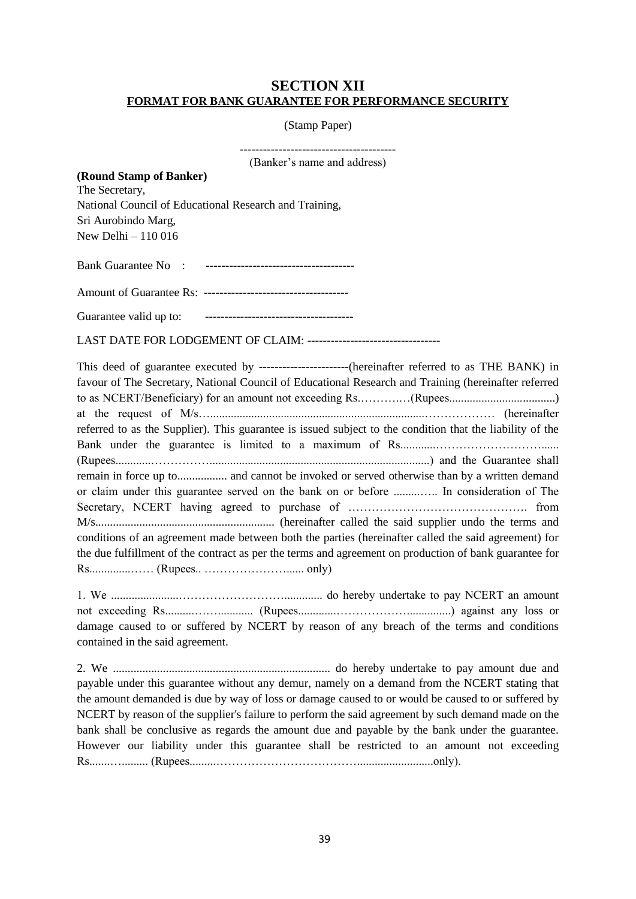## **SECTION XII FORMAT FOR BANK GUARANTEE FOR PERFORMANCE SECURITY**

#### (Stamp Paper)

| (Banker's name and address)                                                                                                                                                                                                                                                                                                                                                                          |
|------------------------------------------------------------------------------------------------------------------------------------------------------------------------------------------------------------------------------------------------------------------------------------------------------------------------------------------------------------------------------------------------------|
| (Round Stamp of Banker)<br>The Secretary,                                                                                                                                                                                                                                                                                                                                                            |
| National Council of Educational Research and Training,                                                                                                                                                                                                                                                                                                                                               |
| Sri Aurobindo Marg,                                                                                                                                                                                                                                                                                                                                                                                  |
| New Delhi - 110 016                                                                                                                                                                                                                                                                                                                                                                                  |
|                                                                                                                                                                                                                                                                                                                                                                                                      |
|                                                                                                                                                                                                                                                                                                                                                                                                      |
|                                                                                                                                                                                                                                                                                                                                                                                                      |
| LAST DATE FOR LODGEMENT OF CLAIM: ----------------------------------                                                                                                                                                                                                                                                                                                                                 |
| favour of The Secretary, National Council of Educational Research and Training (hereinafter referred<br>to as NCERT/Beneficiary) for an amount not exceeding Rs(Rupees                                                                                                                                                                                                                               |
| referred to as the Supplier). This guarantee is issued subject to the condition that the liability of the                                                                                                                                                                                                                                                                                            |
| remain in force up to and cannot be invoked or served otherwise than by a written demand<br>or claim under this guarantee served on the bank on or before  In consideration of The<br>conditions of an agreement made between both the parties (hereinafter called the said agreement) for<br>the due fulfillment of the contract as per the terms and agreement on production of bank guarantee for |
|                                                                                                                                                                                                                                                                                                                                                                                                      |
|                                                                                                                                                                                                                                                                                                                                                                                                      |
| damage caused to or suffered by NCERT by reason of any breach of the terms and conditions<br>contained in the said agreement.                                                                                                                                                                                                                                                                        |
| $\gamma$ $\mathbf{v}$<br>$1 \t1 \t1 \t1 \t1 \t1 \t1$                                                                                                                                                                                                                                                                                                                                                 |

2. We .......................................................................... do hereby undertake to pay amount due and payable under this guarantee without any demur, namely on a demand from the NCERT stating that the amount demanded is due by way of loss or damage caused to or would be caused to or suffered by NCERT by reason of the supplier's failure to perform the said agreement by such demand made on the bank shall be conclusive as regards the amount due and payable by the bank under the guarantee. However our liability under this guarantee shall be restricted to an amount not exceeding Rs.......…......... (Rupees.........………………………………..........................only).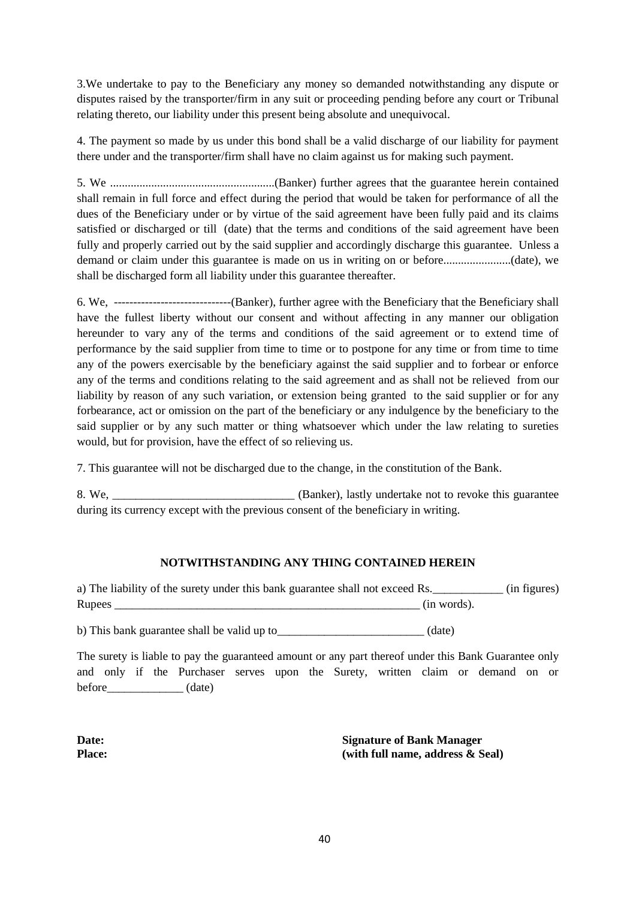3.We undertake to pay to the Beneficiary any money so demanded notwithstanding any dispute or disputes raised by the transporter/firm in any suit or proceeding pending before any court or Tribunal relating thereto, our liability under this present being absolute and unequivocal.

4. The payment so made by us under this bond shall be a valid discharge of our liability for payment there under and the transporter/firm shall have no claim against us for making such payment.

5. We ........................................................(Banker) further agrees that the guarantee herein contained shall remain in full force and effect during the period that would be taken for performance of all the dues of the Beneficiary under or by virtue of the said agreement have been fully paid and its claims satisfied or discharged or till (date) that the terms and conditions of the said agreement have been fully and properly carried out by the said supplier and accordingly discharge this guarantee. Unless a demand or claim under this guarantee is made on us in writing on or before.......................(date), we shall be discharged form all liability under this guarantee thereafter.

6. We, ------------------------------(Banker), further agree with the Beneficiary that the Beneficiary shall have the fullest liberty without our consent and without affecting in any manner our obligation hereunder to vary any of the terms and conditions of the said agreement or to extend time of performance by the said supplier from time to time or to postpone for any time or from time to time any of the powers exercisable by the beneficiary against the said supplier and to forbear or enforce any of the terms and conditions relating to the said agreement and as shall not be relieved from our liability by reason of any such variation, or extension being granted to the said supplier or for any forbearance, act or omission on the part of the beneficiary or any indulgence by the beneficiary to the said supplier or by any such matter or thing whatsoever which under the law relating to sureties would, but for provision, have the effect of so relieving us.

7. This guarantee will not be discharged due to the change, in the constitution of the Bank.

8. We, \_\_\_\_\_\_\_\_\_\_\_\_\_\_\_\_\_\_\_\_\_\_\_\_\_\_\_\_\_\_\_\_\_\_(Banker), lastly undertake not to revoke this guarantee during its currency except with the previous consent of the beneficiary in writing.

## **NOTWITHSTANDING ANY THING CONTAINED HEREIN**

a) The liability of the surety under this bank guarantee shall not exceed Rs.\_\_\_\_\_\_\_\_\_\_\_\_ (in figures) Rupees  $_{\text{(in words)}}$ 

b) This bank guarantee shall be valid up to \_\_\_\_\_\_\_\_\_\_\_\_\_\_\_\_\_\_\_\_\_\_\_\_ (date)

The surety is liable to pay the guaranteed amount or any part thereof under this Bank Guarantee only and only if the Purchaser serves upon the Surety, written claim or demand on or  $before$  (date)

**Date: Place:** **Signature of Bank Manager (with full name, address & Seal)**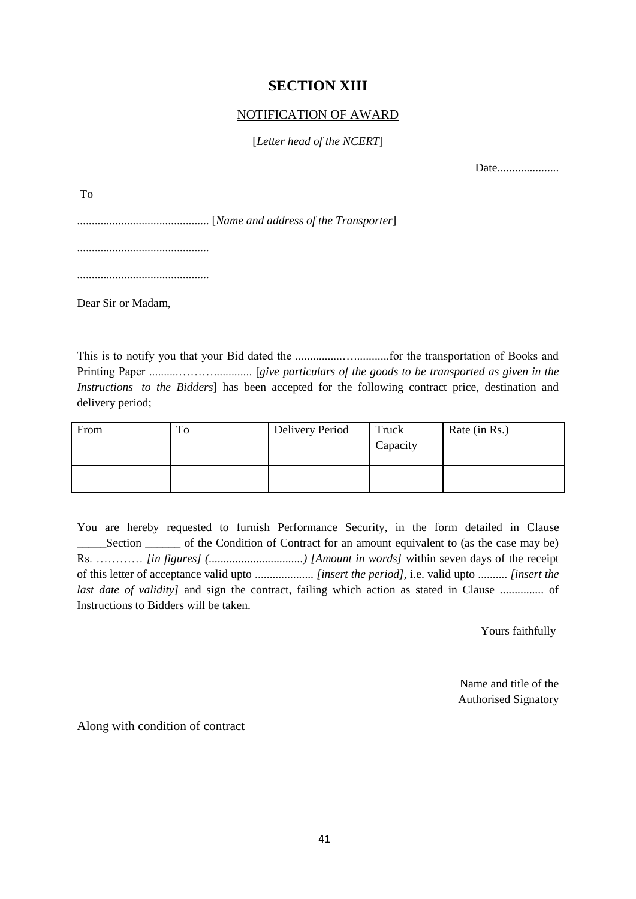## **SECTION XIII**

## NOTIFICATION OF AWARD

## [*Letter head of the NCERT*]

Date......................

To

............................................. [*Name and address of the Transporter*]

.............................................

.............................................

Dear Sir or Madam,

This is to notify you that your Bid dated the ................…............for the transportation of Books and Printing Paper ..........………............. [*give particulars of the goods to be transported as given in the Instructions to the Bidders*] has been accepted for the following contract price, destination and delivery period;

| From | ᡣ<br>10 | <b>Delivery Period</b> | Truck<br>Capacity | Rate (in Rs.) |
|------|---------|------------------------|-------------------|---------------|
|      |         |                        |                   |               |

You are hereby requested to furnish Performance Security, in the form detailed in Clause \_\_\_\_\_Section \_\_\_\_\_\_ of the Condition of Contract for an amount equivalent to (as the case may be) Rs. ………… *[in figures] (................................) [Amount in words]* within seven days of the receipt of this letter of acceptance valid upto .................... *[insert the period],* i.e. valid upto .......... *[insert the last date of validity]* and sign the contract, failing which action as stated in Clause ................. of Instructions to Bidders will be taken.

Yours faithfully

Name and title of the Authorised Signatory

Along with condition of contract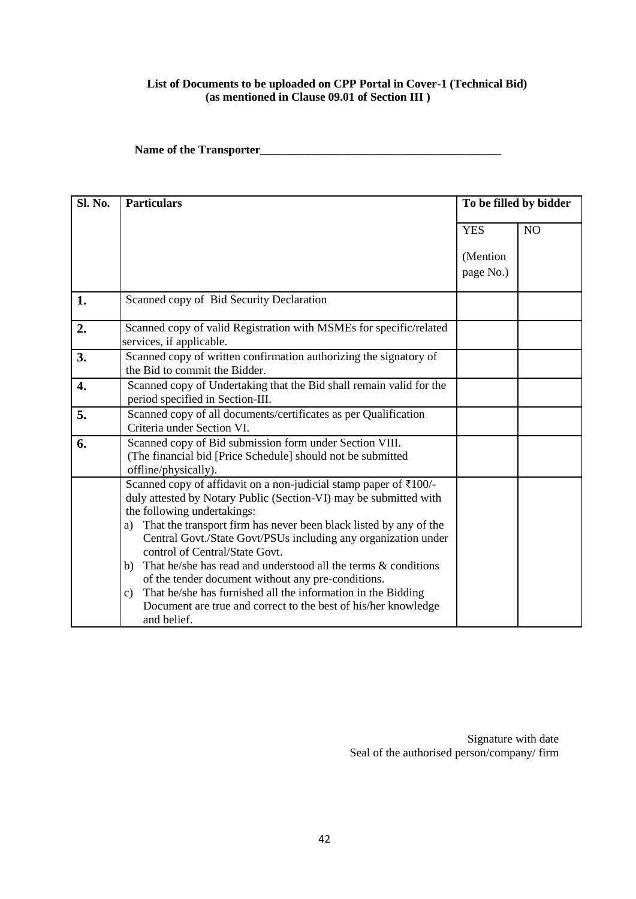#### **List of Documents to be uploaded on CPP Portal in Cover-1 (Technical Bid) (as mentioned in Clause 09.01 of Section III )**

**Name of the Transporter\_\_\_\_\_\_\_\_\_\_\_\_\_\_\_\_\_\_\_\_\_\_\_\_\_\_\_\_\_\_\_\_\_\_\_\_\_\_\_\_\_**

| Sl. No. |                                                                                                         |                        |                |
|---------|---------------------------------------------------------------------------------------------------------|------------------------|----------------|
|         | <b>Particulars</b>                                                                                      | To be filled by bidder |                |
|         |                                                                                                         | <b>YES</b>             | N <sub>O</sub> |
|         |                                                                                                         |                        |                |
|         |                                                                                                         | (Mention               |                |
|         |                                                                                                         | page No.)              |                |
| 1.      | Scanned copy of Bid Security Declaration                                                                |                        |                |
| 2.      | Scanned copy of valid Registration with MSMEs for specific/related<br>services, if applicable.          |                        |                |
| 3.      | Scanned copy of written confirmation authorizing the signatory of<br>the Bid to commit the Bidder.      |                        |                |
| 4.      | Scanned copy of Undertaking that the Bid shall remain valid for the<br>period specified in Section-III. |                        |                |
| 5.      | Scanned copy of all documents/certificates as per Qualification<br>Criteria under Section VI.           |                        |                |
| 6.      | Scanned copy of Bid submission form under Section VIII.                                                 |                        |                |
|         | (The financial bid [Price Schedule] should not be submitted<br>offline/physically).                     |                        |                |
|         | Scanned copy of affidavit on a non-judicial stamp paper of ₹100/-                                       |                        |                |
|         | duly attested by Notary Public (Section-VI) may be submitted with                                       |                        |                |
|         | the following undertakings:                                                                             |                        |                |
|         | That the transport firm has never been black listed by any of the<br>a)                                 |                        |                |
|         | Central Govt./State Govt/PSUs including any organization under                                          |                        |                |
|         | control of Central/State Govt.                                                                          |                        |                |
|         | That he/she has read and understood all the terms & conditions<br>b)                                    |                        |                |
|         | of the tender document without any pre-conditions.                                                      |                        |                |
|         | That he/she has furnished all the information in the Bidding<br>c)                                      |                        |                |
|         |                                                                                                         |                        |                |
|         | Document are true and correct to the best of his/her knowledge<br>and belief.                           |                        |                |

Signature with date Seal of the authorised person/company/ firm